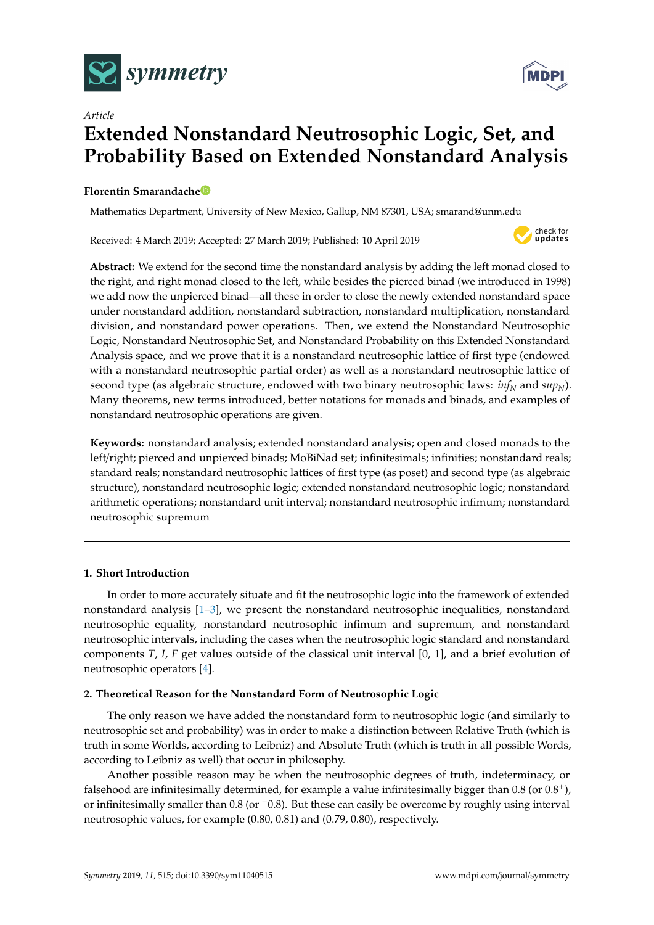



# *Article* **Extended Nonstandard Neutrosophic Logic, Set, and Probability Based on Extended Nonstandard Analysis**

# **Florentin Smarandach[e](https://orcid.org/0000-0002-5560-5926)**

Mathematics Department, University of New Mexico, Gallup, NM 87301, USA; smarand@unm.edu

Received: 4 March 2019; Accepted: 27 March 2019; Published: 10 April 2019



**Abstract:** We extend for the second time the nonstandard analysis by adding the left monad closed to the right, and right monad closed to the left, while besides the pierced binad (we introduced in 1998) we add now the unpierced binad—all these in order to close the newly extended nonstandard space under nonstandard addition, nonstandard subtraction, nonstandard multiplication, nonstandard division, and nonstandard power operations. Then, we extend the Nonstandard Neutrosophic Logic, Nonstandard Neutrosophic Set, and Nonstandard Probability on this Extended Nonstandard Analysis space, and we prove that it is a nonstandard neutrosophic lattice of first type (endowed with a nonstandard neutrosophic partial order) as well as a nonstandard neutrosophic lattice of second type (as algebraic structure, endowed with two binary neutrosophic laws:  $inf_N$  and  $sup_N$ ). Many theorems, new terms introduced, better notations for monads and binads, and examples of nonstandard neutrosophic operations are given.

**Keywords:** nonstandard analysis; extended nonstandard analysis; open and closed monads to the left/right; pierced and unpierced binads; MoBiNad set; infinitesimals; infinities; nonstandard reals; standard reals; nonstandard neutrosophic lattices of first type (as poset) and second type (as algebraic structure), nonstandard neutrosophic logic; extended nonstandard neutrosophic logic; nonstandard arithmetic operations; nonstandard unit interval; nonstandard neutrosophic infimum; nonstandard neutrosophic supremum

## **1. Short Introduction**

In order to more accurately situate and fit the neutrosophic logic into the framework of extended nonstandard analysis [\[1](#page-23-0)[–3\]](#page-23-1), we present the nonstandard neutrosophic inequalities, nonstandard neutrosophic equality, nonstandard neutrosophic infimum and supremum, and nonstandard neutrosophic intervals, including the cases when the neutrosophic logic standard and nonstandard components *T*, *I*, *F* get values outside of the classical unit interval [0, 1], and a brief evolution of neutrosophic operators [\[4\]](#page-23-2).

## **2. Theoretical Reason for the Nonstandard Form of Neutrosophic Logic**

The only reason we have added the nonstandard form to neutrosophic logic (and similarly to neutrosophic set and probability) was in order to make a distinction between Relative Truth (which is truth in some Worlds, according to Leibniz) and Absolute Truth (which is truth in all possible Words, according to Leibniz as well) that occur in philosophy.

Another possible reason may be when the neutrosophic degrees of truth, indeterminacy, or falsehood are infinitesimally determined, for example a value infinitesimally bigger than  $0.8$  (or  $0.8^+$ ), or infinitesimally smaller than 0.8 (or −0.8). But these can easily be overcome by roughly using interval neutrosophic values, for example (0.80, 0.81) and (0.79, 0.80), respectively.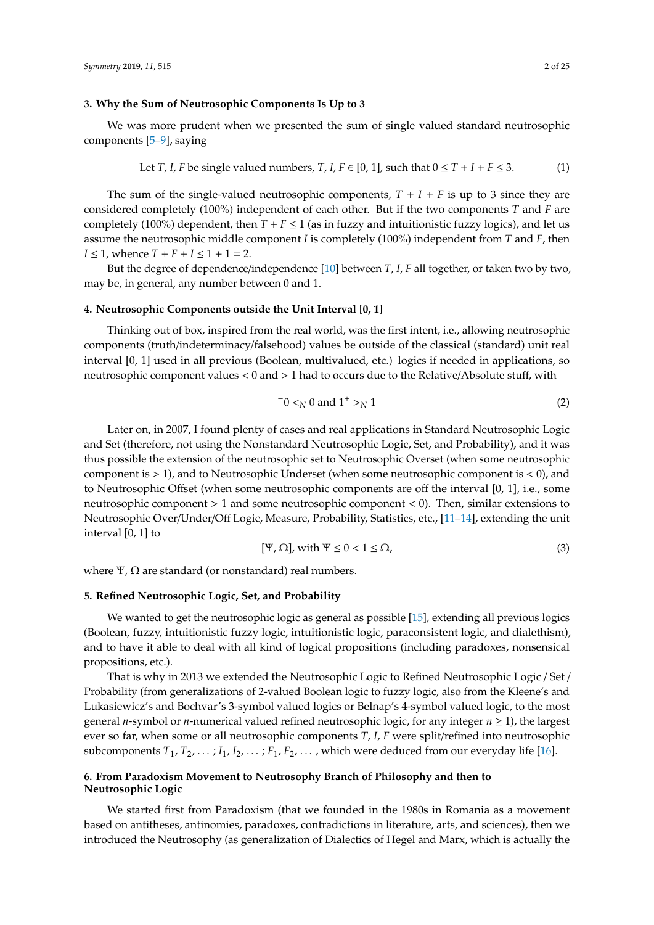#### **3. Why the Sum of Neutrosophic Components Is Up to 3**

We was more prudent when we presented the sum of single valued standard neutrosophic components [\[5](#page-23-3)[–9\]](#page-24-0), saying

Let *T*, *I*, *F* be single valued numbers, *T*, *I*, 
$$
F \in [0, 1]
$$
, such that  $0 \le T + I + F \le 3$ . (1)

The sum of the single-valued neutrosophic components,  $T + I + F$  is up to 3 since they are considered completely (100%) independent of each other. But if the two components *T* and *F* are completely (100%) dependent, then  $T + F \le 1$  (as in fuzzy and intuitionistic fuzzy logics), and let us assume the neutrosophic middle component *I* is completely (100%) independent from *T* and *F*, then *I* ≤ 1, whence  $T + F + I$  ≤ 1 + 1 = 2.

But the degree of dependence/independence [\[10\]](#page-24-1) between *T*, *I*, *F* all together, or taken two by two, may be, in general, any number between 0 and 1.

#### **4. Neutrosophic Components outside the Unit Interval [0, 1]**

Thinking out of box, inspired from the real world, was the first intent, i.e., allowing neutrosophic components (truth/indeterminacy/falsehood) values be outside of the classical (standard) unit real interval [0, 1] used in all previous (Boolean, multivalued, etc.) logics if needed in applications, so neutrosophic component values < 0 and > 1 had to occurs due to the Relative/Absolute stuff, with

$$
-0 <_{N} 0 \text{ and } 1^{+} >_{N} 1
$$
 (2)

Later on, in 2007, I found plenty of cases and real applications in Standard Neutrosophic Logic and Set (therefore, not using the Nonstandard Neutrosophic Logic, Set, and Probability), and it was thus possible the extension of the neutrosophic set to Neutrosophic Overset (when some neutrosophic component is  $> 1$ ), and to Neutrosophic Underset (when some neutrosophic component is  $< 0$ ), and to Neutrosophic Offset (when some neutrosophic components are off the interval [0, 1], i.e., some neutrosophic component > 1 and some neutrosophic component < 0). Then, similar extensions to Neutrosophic Over/Under/Off Logic, Measure, Probability, Statistics, etc., [\[11](#page-24-2)[–14\]](#page-24-3), extending the unit interval [0, 1] to

$$
[\Psi, \Omega], \text{ with } \Psi \le 0 < 1 \le \Omega,\tag{3}
$$

where  $\Psi$ ,  $\Omega$  are standard (or nonstandard) real numbers.

#### **5. Refined Neutrosophic Logic, Set, and Probability**

We wanted to get the neutrosophic logic as general as possible [\[15\]](#page-24-4), extending all previous logics (Boolean, fuzzy, intuitionistic fuzzy logic, intuitionistic logic, paraconsistent logic, and dialethism), and to have it able to deal with all kind of logical propositions (including paradoxes, nonsensical propositions, etc.).

That is why in 2013 we extended the Neutrosophic Logic to Refined Neutrosophic Logic / Set / Probability (from generalizations of 2-valued Boolean logic to fuzzy logic, also from the Kleene's and Lukasiewicz's and Bochvar's 3-symbol valued logics or Belnap's 4-symbol valued logic, to the most general *n*-symbol or *n*-numerical valued refined neutrosophic logic, for any integer *n* ≥ 1), the largest ever so far, when some or all neutrosophic components *T*, *I*, *F* were split/refined into neutrosophic subcomponents  $T_1, T_2, \ldots; I_1, I_2, \ldots; F_1, F_2, \ldots$ , which were deduced from our everyday life [\[16\]](#page-24-5).

## **6. From Paradoxism Movement to Neutrosophy Branch of Philosophy and then to Neutrosophic Logic**

We started first from Paradoxism (that we founded in the 1980s in Romania as a movement based on antitheses, antinomies, paradoxes, contradictions in literature, arts, and sciences), then we introduced the Neutrosophy (as generalization of Dialectics of Hegel and Marx, which is actually the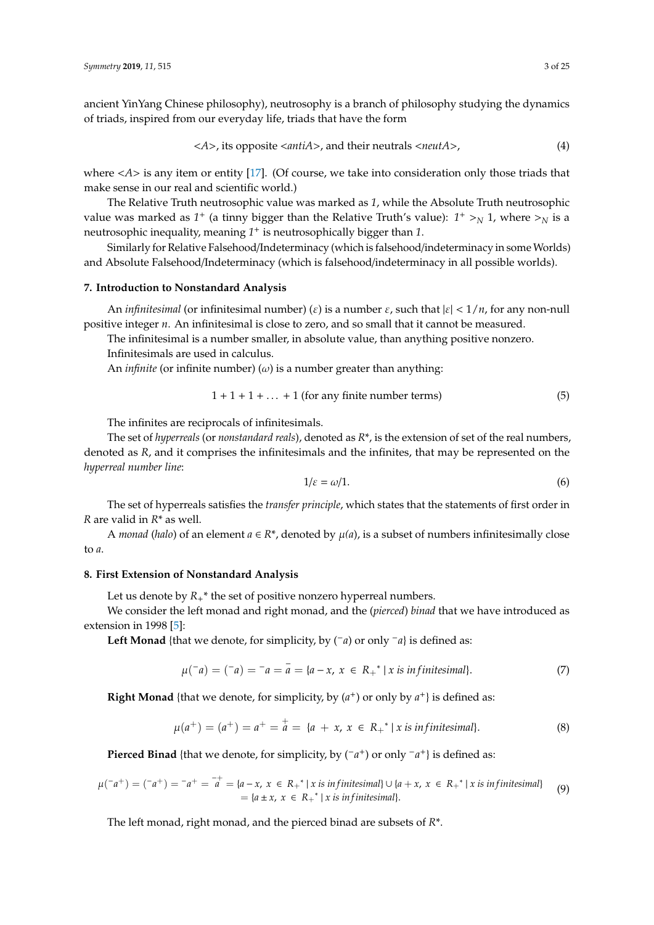ancient YinYang Chinese philosophy), neutrosophy is a branch of philosophy studying the dynamics of triads, inspired from our everyday life, triads that have the form

$$
\langle A \rangle
$$
, its opposite  $\langle$ antiA $\rangle$ , and their neutrals  $\langle$ neutA $\rangle$ , (4)

where <*A*> is any item or entity [\[17\]](#page-24-6). (Of course, we take into consideration only those triads that make sense in our real and scientific world.)

The Relative Truth neutrosophic value was marked as *1*, while the Absolute Truth neutrosophic value was marked as  $1^+$  (a tinny bigger than the Relative Truth's value):  $1^+ >_N 1$ , where  $>_N$  is a neutrosophic inequality, meaning *1* <sup>+</sup> is neutrosophically bigger than *1*.

Similarly for Relative Falsehood/Indeterminacy (which is falsehood/indeterminacy in some Worlds) and Absolute Falsehood/Indeterminacy (which is falsehood/indeterminacy in all possible worlds).

#### **7. Introduction to Nonstandard Analysis**

An *infinitesimal* (or infinitesimal number) ( $\varepsilon$ ) is a number  $\varepsilon$ , such that  $|\varepsilon| < 1/n$ , for any non-null positive integer *n*. An infinitesimal is close to zero, and so small that it cannot be measured.

The infinitesimal is a number smaller, in absolute value, than anything positive nonzero.

Infinitesimals are used in calculus.

An *infinite* (or infinite number) ( $\omega$ ) is a number greater than anything:

$$
1 + 1 + 1 + \dots + 1
$$
 (for any finite number terms) (5)

The infinites are reciprocals of infinitesimals.

The set of *hyperreals* (or *nonstandard reals*), denoted as *R*\*, is the extension of set of the real numbers, denoted as *R*, and it comprises the infinitesimals and the infinites, that may be represented on the *hyperreal number line*:

$$
1/\varepsilon = \omega/1. \tag{6}
$$

The set of hyperreals satisfies the *transfer principle*, which states that the statements of first order in *R* are valid in *R*\* as well.

A *monad* (*halo*) of an element  $a \in R^*$ , denoted by  $\mu(a)$ , is a subset of numbers infinitesimally close to *a*.

#### **8. First Extension of Nonstandard Analysis**

Let us denote by  $R_{+}^{*}$  the set of positive nonzero hyperreal numbers.

We consider the left monad and right monad, and the (*pierced*) *binad* that we have introduced as extension in 1998 [\[5\]](#page-23-3):

Left Monad {that we denote, for simplicity, by (<sup>−</sup>*a*) or only <sup>−</sup>*a*} is defined as:

$$
\mu(^{-}a) = (^{-}a) = ^{-}a = \bar{a} = \{a - x, x \in R_{+}^{*} \mid x \text{ is infinitesimal}\}. \tag{7}
$$

**Right Monad** {that we denote, for simplicity, by  $(a^+)$  or only by  $a^+$ } is defined as:

$$
\mu(a^+) = (a^+) = a^+ = a^+ = \{a + x, x \in R_+^* \mid x \text{ is infinitesimal}\}.
$$
 (8)

**Pierced Binad** {that we denote, for simplicity, by (<sup>−</sup>*a*<sup>+</sup>) or only <sup>−</sup>*a*<sup>+</sup>} is defined as:

$$
\mu(\overline{\phantom{a}}a^+) = (\overline{\phantom{a}}a^+) = \overline{\phantom{a}}a^+ = \overline{\phantom{a}}a - x, \ x \in R_+^* \mid x \text{ is infinitesimal} \} \cup \{a + x, \ x \in R_+^* \mid x \text{ is infinitesimal}\}
$$
\n
$$
= \{a \pm x, \ x \in R_+^* \mid x \text{ is infinitesimal}\}.
$$
\n(9)

The left monad, right monad, and the pierced binad are subsets of *R*\*.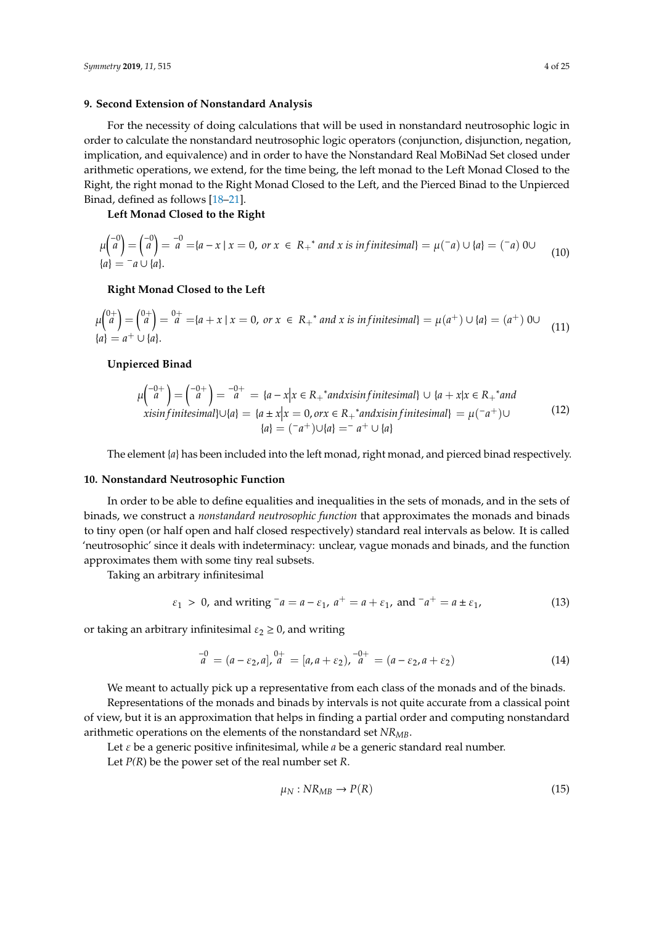#### **9. Second Extension of Nonstandard Analysis**

For the necessity of doing calculations that will be used in nonstandard neutrosophic logic in order to calculate the nonstandard neutrosophic logic operators (conjunction, disjunction, negation, implication, and equivalence) and in order to have the Nonstandard Real MoBiNad Set closed under arithmetic operations, we extend, for the time being, the left monad to the Left Monad Closed to the Right, the right monad to the Right Monad Closed to the Left, and the Pierced Binad to the Unpierced Binad, defined as follows [\[18](#page-24-7)[–21\]](#page-24-8).

#### **Left Monad Closed to the Right**

$$
\mu \begin{pmatrix} -0 \\ a \end{pmatrix} = \begin{pmatrix} -0 \\ a \end{pmatrix} = \overline{a} = \{a - x \mid x = 0, \text{ or } x \in R_+^* \text{ and } x \text{ is infinitesimal}\} = \mu \begin{pmatrix} -a \end{pmatrix} \cup \{a\} = \begin{pmatrix} -a \end{pmatrix} 0 \cup \{a\} = \overline{a} \cup \{a\}. \tag{10}
$$

#### **Right Monad Closed to the Left**

$$
\mu \begin{pmatrix} 0+ \\ a \end{pmatrix} = \begin{pmatrix} 0+ \\ a \end{pmatrix} = \begin{pmatrix} 0+ \\ a \end{pmatrix} = \begin{pmatrix} 0+ \\ a \end{pmatrix} = \begin{pmatrix} 0+ \\ a \end{pmatrix} = \begin{pmatrix} 0+ \\ a \end{pmatrix} = \begin{pmatrix} 0+ \\ a \end{pmatrix} = \begin{pmatrix} 0+ \\ a \end{pmatrix} = \begin{pmatrix} 0+ \\ a \end{pmatrix} = \begin{pmatrix} 0+ \\ a \end{pmatrix} = \begin{pmatrix} 0+ \\ a \end{pmatrix} = \begin{pmatrix} 0+ \\ a \end{pmatrix} = \begin{pmatrix} 0+ \\ a \end{pmatrix} = \begin{pmatrix} 0+ \\ a \end{pmatrix} = \begin{pmatrix} 0+ \\ a \end{pmatrix} = \begin{pmatrix} 0+ \\ a \end{pmatrix} = \begin{pmatrix} 0+ \\ a \end{pmatrix} = \begin{pmatrix} 0+ \\ a \end{pmatrix} = \begin{pmatrix} 0+ \\ a \end{pmatrix} = \begin{pmatrix} 0+ \\ a \end{pmatrix} = \begin{pmatrix} 0+ \\ a \end{pmatrix} = \begin{pmatrix} 0+ \\ a \end{pmatrix} = \begin{pmatrix} 0+ \\ a \end{pmatrix} = \begin{pmatrix} 0+ \\ a \end{pmatrix} = \begin{pmatrix} 0+ \\ a \end{pmatrix} = \begin{pmatrix} 0+ \\ a \end{pmatrix} = \begin{pmatrix} 0+ \\ a \end{pmatrix} = \begin{pmatrix} 0+ \\ a \end{pmatrix} = \begin{pmatrix} 0+ \\ a \end{pmatrix} = \begin{pmatrix} 0+ \\ a \end{pmatrix} = \begin{pmatrix} 0+ \\ a \end{pmatrix} = \begin{pmatrix} 0+ \\ a \end{pmatrix} = \begin{pmatrix} 0+ \\ a \end{pmatrix} = \begin{pmatrix} 0+ \\ a \end{pmatrix} = \begin{pmatrix} 0+ \\ a \end{pmatrix} = \begin{pmatrix} 0+ \\ a \end{pmatrix} = \begin{pmatrix} 0+ \\ a \end{pmatrix} = \begin{pmatrix} 0+ \\ a \end{pmatrix} = \begin{pmatrix} 0+ \\ a \end{pmatrix} = \begin{pmatrix} 0+ \\ a \end{pmatrix} = \begin{pmatrix} 0+ \\ a \end{pmatrix} = \begin{pmatrix} 0+ \\ a \end{pmatrix} = \begin
$$

## **Unpierced Binad**

$$
\mu \begin{pmatrix} -0+ \\ a \end{pmatrix} = \begin{pmatrix} -0+ \\ a \end{pmatrix} = \begin{pmatrix} -0+ \\ a \end{pmatrix} = \{a - x | x \in R_+ \text{ and } x \in R_+ \text{ and } x \in R_+ \text{ and } x \in R_+ \text{ and } x \in R_+ \text{ and } x \in R_+ \text{ and } x \in R_+ \text{ and } x \in R_+ \text{ and } x \in R_+ \text{ and } x \in R_+ \text{ and } x \in R_+ \text{ and } x \in R_+ \text{ and } x \in R_+ \text{ and } x \in R_+ \text{ and } x \in R_+ \text{ and } x \in R_+ \text{ and } x \in R_+ \text{ and } x \in R_+ \text{ and } x \in R_+ \text{ and } x \in R_+ \text{ and } x \in R_+ \text{ and } x \in R_+ \text{ and } x \in R_+ \text{ and } x \in R_+ \text{ and } x \in R_+ \text{ and } x \in R_+ \text{ and } x \in R_+ \text{ and } x \in R_+ \text{ and } x \in R_+ \text{ and } x \in R_+ \text{ and } x \in R_+ \text{ and } x \in R_+ \text{ and } x \in R_+ \text{ and } x \in R_+ \text{ and } x \in R_+ \text{ and } x \in R_+ \text{ and } x \in R_+ \text{ and } x \in R_+ \text{ and } x \in R_+ \text{ and } x \in R_+ \text{ and } x \in R_+ \text{ and } x \in R_+ \text{ and } x \in R_+ \text{ and } x \in R_+ \text{ and } x \in R_+ \text{ and } x \in R_+ \text{ and } x \in R_+ \text{ and } x \in R_+ \text{ and } x \in R_+ \text{ and } x \in R_+ \text{ and } x \in R_+ \text{ and } x \in R_+ \text{ and } x \in R_+ \text{ and } x \in R_+ \text{ and } x \in R_+ \text{ and } x \in R_+ \text{ and } x \in R_+ \text{ and } x \in R_+ \text{ and } x \in R_+ \text{ and } x \in R_+ \text{ and } x \in R_+ \text{ and } x \in R_+ \text{ and } x \in R_+ \text{ and } x \in R_
$$

The element {*a*} has been included into the left monad, right monad, and pierced binad respectively.

#### **10. Nonstandard Neutrosophic Function**

In order to be able to define equalities and inequalities in the sets of monads, and in the sets of binads, we construct a *nonstandard neutrosophic function* that approximates the monads and binads to tiny open (or half open and half closed respectively) standard real intervals as below. It is called 'neutrosophic' since it deals with indeterminacy: unclear, vague monads and binads, and the function approximates them with some tiny real subsets.

Taking an arbitrary infinitesimal

$$
\varepsilon_1 > 0
$$
, and writing  $\bar{a} = a - \varepsilon_1$ ,  $a^+ = a + \varepsilon_1$ , and  $\bar{a}^+ = a \pm \varepsilon_1$ , (13)

or taking an arbitrary infinitesimal  $\varepsilon_2 \geq 0$ , and writing

$$
\mathbf{a}^{-0} = (a - \varepsilon_2, a), \mathbf{a}^{0+} = [a, a + \varepsilon_2), \mathbf{a}^{-0+} = (a - \varepsilon_2, a + \varepsilon_2) \tag{14}
$$

We meant to actually pick up a representative from each class of the monads and of the binads. Representations of the monads and binads by intervals is not quite accurate from a classical point of view, but it is an approximation that helps in finding a partial order and computing nonstandard arithmetic operations on the elements of the nonstandard set *NRMB*.

Let  $\varepsilon$  be a generic positive infinitesimal, while  $a$  be a generic standard real number.

Let *P(R*) be the power set of the real number set *R*.

$$
\mu_N: NR_{MB} \to P(R) \tag{15}
$$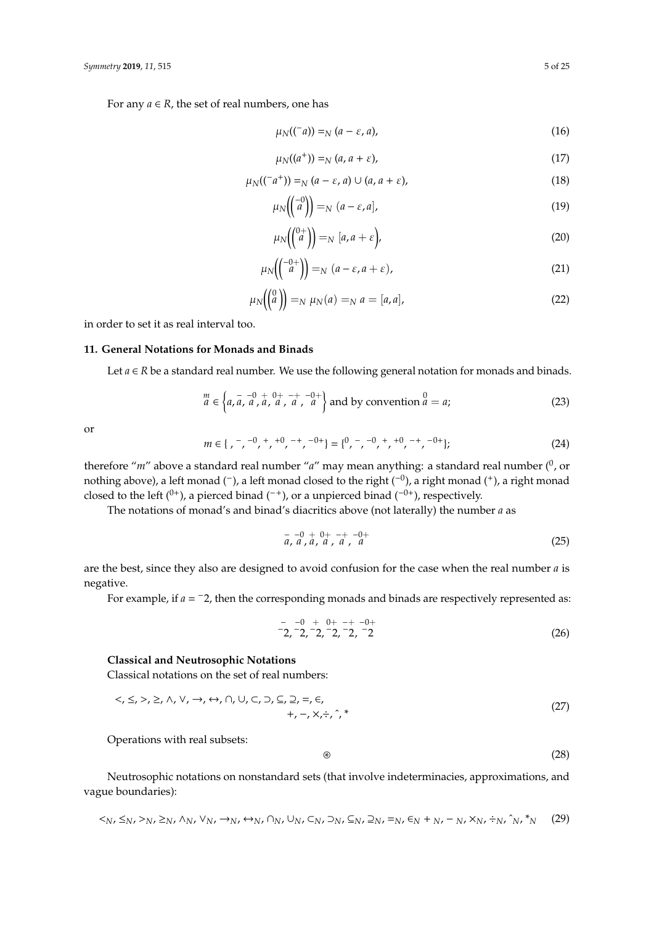For any  $a \in R$ , the set of real numbers, one has

$$
\mu_N((\bar{a})) =_N (a - \varepsilon, a), \tag{16}
$$

$$
\mu_N((a^+)) =_N (a, a + \varepsilon), \tag{17}
$$

$$
\mu_N((\bar{a}^*)) =_N (a - \varepsilon, a) \cup (a, a + \varepsilon), \tag{18}
$$

$$
\mu_N\left(\begin{pmatrix} -0\\a \end{pmatrix}\right) =_N (a - \varepsilon, a],\tag{19}
$$

$$
\mu_N\left(\begin{pmatrix} 0+ \\ a \end{pmatrix}\right) =_N [a, a+\varepsilon], \tag{20}
$$

$$
\mu_N\left(\begin{pmatrix} -0+ \\ a \end{pmatrix}\right) =_N (a - \varepsilon, a + \varepsilon),\tag{21}
$$

$$
\mu_N\!\left(\!\!\begin{pmatrix} 0\\a \end{pmatrix}\!\!\right) =_N \mu_N(a) =_N a = [a, a],\tag{22}
$$

in order to set it as real interval too.

## **11. General Notations for Monads and Binads**

Let  $a \in R$  be a standard real number. We use the following general notation for monads and binads.

$$
\begin{array}{c}\nm\\
a \in \left\{ a, \frac{-}{a}, \frac{-0}{a}, \frac{0+}{a}, \frac{-+}{a}, \frac{-0+}{a} \right\} \text{ and by convention } a = a;\n\end{array} \tag{23}
$$

or

*<sup>m</sup>* <sup>∈</sup> { , <sup>−</sup> , −0 , + , +0 , −+ , −0+ } = { 0 , − , −0 , + , +0 , −+ , −0+ }; (24)

therefore "m" above a standard real number "a" may mean anything: a standard real number (<sup>0</sup>, or nothing above), a left monad (<sup>−</sup>), a left monad closed to the right (<sup>−0</sup>), a right monad (<sup>+</sup>), a right monad closed to the left  $(0^+)$ , a pierced binad  $(0^+)$ , or a unpierced binad  $(0^+)$ , respectively.

The notations of monad's and binad's diacritics above (not laterally) the number *a* as

$$
\begin{array}{cc}\n- & -0 & + & 0+ & -+ & -0+ \\
a, & a, & a, & a, & a\n\end{array}
$$
\n(25)

are the best, since they also are designed to avoid confusion for the case when the real number *a* is negative.

For example, if  $a = -2$ , then the corresponding monads and binads are respectively represented as:

$$
\begin{array}{cccc}\n- & -0 & + & 0 & + & - & -0 \\
-2 & -2 & -2 & -2 & -2 & -2 \\
\end{array}
$$
\n(26)

#### **Classical and Neutrosophic Notations**

Classical notations on the set of real numbers:

$$
\langle \zeta, \leq, \rangle, \geq, \land, \lor, \to, \leftrightarrow, \land, \cup, \subset, \supset, \subseteq, \supseteq, =, \in, \quad \leftarrow, \quad \leftarrow, \neg, \times, \div, \hat{} ,^*,
$$
\n
$$
(27)
$$

Operations with real subsets:

$$
\circledast \qquad \qquad (28)
$$

Neutrosophic notations on nonstandard sets (that involve indeterminacies, approximations, and vague boundaries):

$$
\langle N, \leq_N, \geq_N, \geq_N, \wedge_N, \vee_N, \to_N, \leftrightarrow_N, \wedge_N, \cup_N, \subset_N, \supset_N, \subseteq_N, \supset_N, \equiv_N, \in_N + N, \neg_N, \times_N, \div_N, \hat{\gamma}, \wedge_N, \neg_N \qquad (29)
$$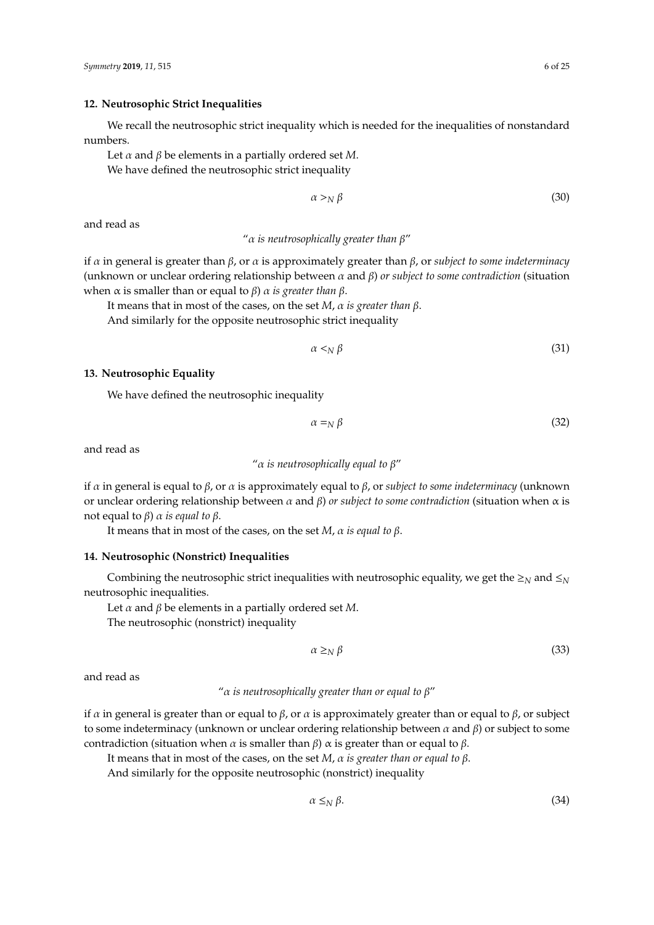## **12. Neutrosophic Strict Inequalities**

We recall the neutrosophic strict inequality which is needed for the inequalities of nonstandard numbers.

Let  $\alpha$  and  $\beta$  be elements in a partially ordered set M. We have defined the neutrosophic strict inequality

$$
\alpha >_N \beta \tag{30}
$$

and read as

#### "α *is neutrosophically greater than* β"

if α in general is greater than β, or α is approximately greater than β, or *subject to some indeterminacy* (unknown or unclear ordering relationship between α and β) *or subject to some contradiction* (situation when α is smaller than or equal to β) α *is greater than* β.

It means that in most of the cases, on the set *M*, α *is greater than* β.

And similarly for the opposite neutrosophic strict inequality

$$
\alpha \leq_N \beta \tag{31}
$$

#### **13. Neutrosophic Equality**

We have defined the neutrosophic inequality

$$
\alpha =_N \beta \tag{32}
$$

and read as

"α *is neutrosophically equal to* β"

if α in general is equal to β, or α is approximately equal to β, or *subject to some indeterminacy* (unknown or unclear ordering relationship between α and β) *or subject to some contradiction* (situation when α is not equal to β) α *is equal to* β.

It means that in most of the cases, on the set *M*, α *is equal to* β.

#### **14. Neutrosophic (Nonstrict) Inequalities**

Combining the neutrosophic strict inequalities with neutrosophic equality, we get the  $\geq_N$  and  $\leq_N$ neutrosophic inequalities.

Let  $\alpha$  and  $\beta$  be elements in a partially ordered set M.

The neutrosophic (nonstrict) inequality

$$
\alpha \geq_N \beta \tag{33}
$$

and read as

#### "α *is neutrosophically greater than or equal to* β"

if *α* in general is greater than or equal to *β*, or *α* is approximately greater than or equal to *β*, or subject to some indeterminacy (unknown or unclear ordering relationship between  $\alpha$  and  $\beta$ ) or subject to some contradiction (situation when *α* is smaller than  $β$ ) *α* is greater than or equal to  $β$ .

It means that in most of the cases, on the set *M*, α *is greater than or equal to* β.

And similarly for the opposite neutrosophic (nonstrict) inequality

$$
\alpha \leq_N \beta. \tag{34}
$$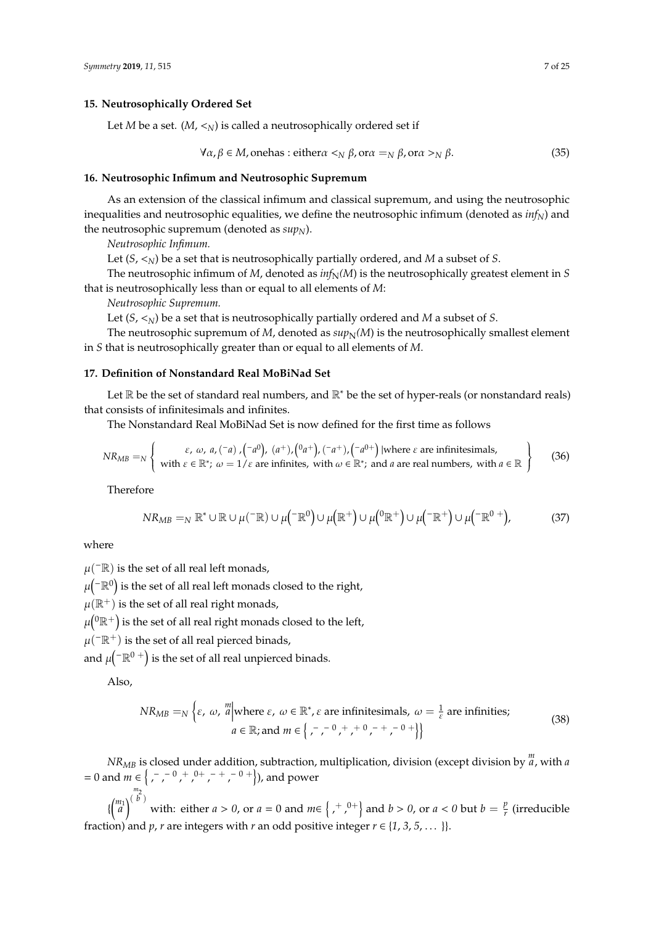#### **15. Neutrosophically Ordered Set**

Let *M* be a set.  $(M, <sub>N</sub>)$  is called a neutrosophically ordered set if

$$
\forall \alpha, \beta \in M, \text{onehas} : \text{either} \alpha \leq_N \beta, \text{or} \alpha =_N \beta, \text{or} \alpha >_N \beta.
$$
 (35)

#### **16. Neutrosophic Infimum and Neutrosophic Supremum**

As an extension of the classical infimum and classical supremum, and using the neutrosophic inequalities and neutrosophic equalities, we define the neutrosophic infimum (denoted as *infN*) and the neutrosophic supremum (denoted as *supN*).

*Neutrosophic Infimum.*

Let  $(S, \leq_N)$  be a set that is neutrosophically partially ordered, and *M* a subset of *S*.

The neutrosophic infimum of *M*, denoted as  $inf_N(M)$  is the neutrosophically greatest element in *S* that is neutrosophically less than or equal to all elements of *M*:

*Neutrosophic Supremum.*

Let  $(S, \leq_N)$  be a set that is neutrosophically partially ordered and *M* a subset of *S*.

The neutrosophic supremum of *M*, denoted as  $\sup_N(M)$  is the neutrosophically smallest element in *S* that is neutrosophically greater than or equal to all elements of *M*.

## **17. Definition of Nonstandard Real MoBiNad Set**

Let ℝ be the set of standard real numbers, and ℝ<sup>∗</sup> be the set of hyper-reals (or nonstandard reals) that consists of infinitesimals and infinites.

The Nonstandard Real MoBiNad Set is now defined for the first time as follows

$$
NR_{MB} =_{N} \left\{ \begin{array}{c} \varepsilon, \ \omega, \ a, (-a), (-a^{0}), (a^{+}), (0a^{+}), (-a^{+}), (-a^{0+}) \text{ |where } \varepsilon \text{ are infinitesimals,} \\ \text{with } \varepsilon \in \mathbb{R}^{*}; \ \omega = 1/\varepsilon \text{ are infinites, with } \omega \in \mathbb{R}^{*}; \text{ and } a \text{ are real numbers, with } a \in \mathbb{R} \end{array} \right\}
$$
(36)

Therefore

$$
NR_{MB} =_N \mathbb{R}^* \cup \mathbb{R} \cup \mu(\neg \mathbb{R}) \cup \mu(\neg \mathbb{R}^0) \cup \mu(\mathbb{R}^+) \cup \mu^0(\mathbb{R}^+) \cup \mu(\neg \mathbb{R}^+) \cup \mu(\neg \mathbb{R}^0 +), \tag{37}
$$

where

 $\mu$ <sup>( $-\mathbb{R}$ ) is the set of all real left monads,</sup>

 $\mu({}^-\mathbb{R}^0)$  is the set of all real left monads closed to the right,

 $\mu(\mathbb{R}^+)$  is the set of all real right monads,

 $\mu(^0\mathbb{R}^+)$  is the set of all real right monads closed to the left,

 $\mu$ ( $^{-}R^{+}$ ) is the set of all real pierced binads,

and  $\mu$ ( $^{-}$  $\mathbb{R}^{0}$  +) is the set of all real unpierced binads.

Also,

$$
NR_{MB} =_{N} \left\{ \varepsilon, \omega, \frac{m}{a} \middle| \text{where } \varepsilon, \omega \in \mathbb{R}^*, \varepsilon \text{ are infinitesimals, } \omega = \frac{1}{\varepsilon} \text{ are infinites;} \right\}
$$
\n
$$
a \in \mathbb{R}; \text{and } m \in \left\{ \left. \right|, \left. \right|, \left. \right|, \left. \right|, \left. \right|, \left. \right|, \left. \right|, \left. \right| \right\}
$$
\n
$$
(38)
$$

*NRMB* is closed under addition, subtraction, multiplication, division (except division by *<sup>m</sup> a*, with *a*  $= 0$  and  $m \in \{ -1, 0, +0, 0, +0, -1, -0, + \}$ , and power

 $\{\binom{m_1}{a}\}^{m_2}$  with: either *a* > *0*, or *a* = 0 and *m*∈ {, + ,<sup>0+</sup>} and *b* > *0*, or *a* < *0* but *b* =  $\frac{p}{r}$ *r* (irreducible fraction) and *p*, *r* are integers with *r* an odd positive integer  $r \in \{1, 3, 5, \dots\}$ .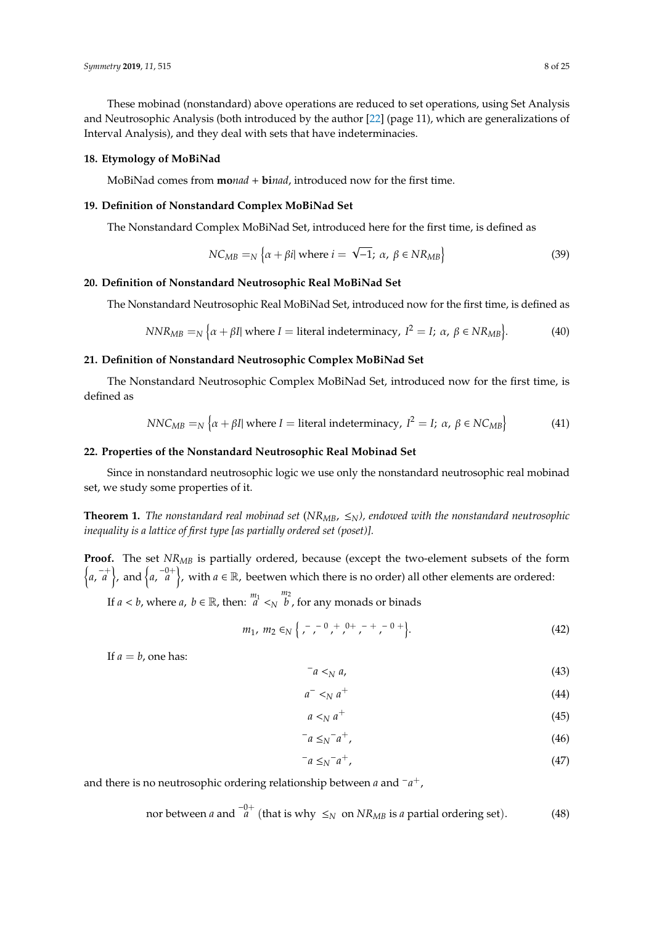These mobinad (nonstandard) above operations are reduced to set operations, using Set Analysis and Neutrosophic Analysis (both introduced by the author [\[22\]](#page-24-9) (page 11), which are generalizations of Interval Analysis), and they deal with sets that have indeterminacies.

#### **18. Etymology of MoBiNad**

MoBiNad comes from **mo***nad* + **bi***nad*, introduced now for the first time.

#### **19. Definition of Nonstandard Complex MoBiNad Set**

The Nonstandard Complex MoBiNad Set, introduced here for the first time, is defined as

$$
NC_{MB} =_{N} \{ \alpha + \beta i | \text{ where } i = \sqrt{-1}; \ \alpha, \ \beta \in NR_{MB} \}
$$
 (39)

#### **20. Definition of Nonstandard Neutrosophic Real MoBiNad Set**

The Nonstandard Neutrosophic Real MoBiNad Set, introduced now for the first time, is defined as

$$
NNR_{MB} =_N {\alpha + \beta I} \text{ where } I = \text{literal indeterminacy, } I^2 = I; \alpha, \beta \in NR_{MB}.
$$
 (40)

## **21. Definition of Nonstandard Neutrosophic Complex MoBiNad Set**

The Nonstandard Neutrosophic Complex MoBiNad Set, introduced now for the first time, is defined as

$$
NNC_{MB} =_N {\alpha + \beta I} \text{ where } I = \text{literal indeterminacy, } I^2 = I; \alpha, \beta \in NC_{MB}
$$
 (41)

#### **22. Properties of the Nonstandard Neutrosophic Real Mobinad Set**

Since in nonstandard neutrosophic logic we use only the nonstandard neutrosophic real mobinad set, we study some properties of it.

**Theorem 1.** *The nonstandard real mobinad set* ( $N_{M,B}$ ,  $\leq_N$ ), endowed with the nonstandard neutrosophic *inequality is a lattice of first type [as partially ordered set (poset)].*

**Proof.** The set *NRMB* is partially ordered, because (except the two-element subsets of the form  $\{a, \overline{a}^+\}$ , and  $\{a, \overline{a}^0\}$ , with  $a \in \mathbb{R}$ , beetwen which there is no order) all other elements are ordered:

If  $a < b$ , where  $a, b \in \mathbb{R}$ , then:  $\frac{m_1}{a} <_{N}$ *m*<sup>2</sup> *b* , for any monads or binads

$$
m_1, m_2 \in N \left\{ \begin{array}{ccc} - & - & 0 & + & 0 & + \\ - & \cdot & \cdot & \cdot & \cdot \\ 0 & 0 & 0 & + \end{array} \right\}.
$$
 (42)

If  $a = b$ , one has:

$$
a \lt N a, \tag{43}
$$

$$
a^- <_N a^+ \tag{44}
$$

$$
a \lt N a^+ \tag{45}
$$

$$
a \leq N^- a^+, \tag{46}
$$

$$
a \leq_N a^+, \tag{47}
$$

and there is no neutrosophic ordering relationship between *a* and <sup>−</sup>*a* +,

nor between *a* and 
$$
\frac{-0+}{a}
$$
 (that is why  $\leq_N$  on  $NR_{MB}$  is *a* partial ordering set). (48)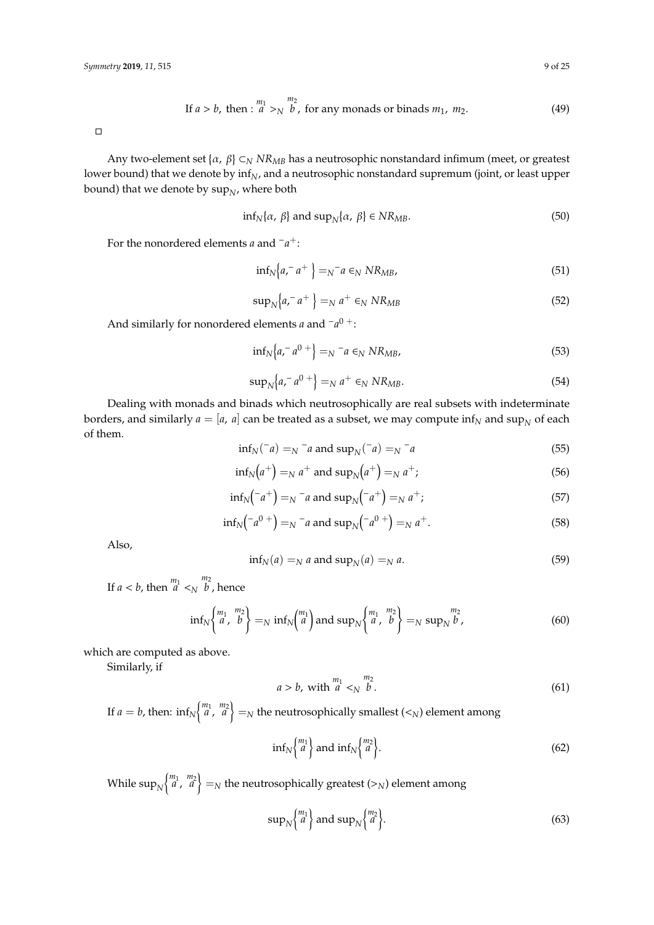If 
$$
a > b
$$
, then :  $\begin{pmatrix} m_1 & m_2 \\ a & >_N \end{pmatrix}$ , for any monads or binads  $m_1$ ,  $m_2$ . (49)

 $\Box$ 

Any two-element set {*α*, *β*}  $\subset$ <sub>*N</sub> NR<sub>MB</sub>* has a neutrosophic nonstandard infimum (meet, or greatest</sub> lower bound) that we denote by inf<sub>N</sub>, and a neutrosophic nonstandard supremum (joint, or least upper bound) that we denote by  $\sup_{N'}$  where both

$$
\inf_{N} \{\alpha, \beta\} \text{ and } \sup_{N} \{\alpha, \beta\} \in NR_{MB}.\tag{50}
$$

For the nonordered elements *a* and <sup>−</sup>*a* +:

$$
\inf_{N} \left\{ a, a^+ \right\} =_N a \in_N N R_{MB},\tag{51}
$$

$$
\sup_{N} \left\{ a, a^+ \right\} =_N a^+ \in_N N R_{MB} \tag{52}
$$

And similarly for nonordered elements *a* and <sup>−</sup>*a*<sup>0</sup> <sup>+</sup>:

$$
\inf_{N} \left\{ a, a^{-} a^{0+} \right\} =_{N} a \in_{N} N R_{MB}, \tag{53}
$$

$$
\sup_{N} \left\{ a, a^0 \right\} =_N a^+ \in_N N R_{MB}. \tag{54}
$$

Dealing with monads and binads which neutrosophically are real subsets with indeterminate borders, and similarly  $a = [a, a]$  can be treated as a subset, we may compute  $\inf_{N}$  and  $\sup_{N}$  of each of them.

$$
\inf_{N}(\bar{a}) =_{N} \bar{a}
$$
 and  $\sup_{N}(\bar{a}) =_{N} \bar{a}$  (55)

$$
\inf_{N}(a^{+}) =_{N} a^{+} \text{ and } \sup_{N}(a^{+}) =_{N} a^{+};
$$
\n
$$
(56)
$$

$$
\inf_{N} (-a^{+}) =_{N} -a
$$
 and  $\sup_{N} (-a^{+}) =_{N} a^{+};$  (57)

$$
\inf_{N} (-a^{0+}) =_{N} -a
$$
 and  $\sup_{N} (-a^{0+}) =_{N} a^{+}.$  (58)

Also,

$$
\inf_{N}(a) =_{N} a \text{ and } \sup_{N}(a) =_{N} a. \tag{59}
$$

If  $a < b$ , then  $\frac{m_1}{a} < N$ *m*<sup>2</sup> *b* , hence

$$
\inf_{N} \left\{ \begin{matrix} m_1 & m_2 \\ a & b \end{matrix} \right\} =_N \inf_{N} \left\{ \begin{matrix} m_1 \\ a \end{matrix} \right\} \text{ and } \sup_{N} \left\{ \begin{matrix} m_1 & m_2 \\ a & b \end{matrix} \right\} =_N \sup_{N} \frac{m_2}{b},\tag{60}
$$

which are computed as above.

Similarly, if

$$
a > b, \text{ with } \begin{array}{c} m_1 \\ a <_N \end{array} \begin{array}{c} m_2 \\ b \end{array} \tag{61}
$$

If  $a = b$ , then:  $\inf_{N} \begin{Bmatrix} m_1 & m_2 \ a & , & a' \end{Bmatrix} =_N$  the neutrosophically smallest  $(<_N$ ) element among

$$
\inf_{N} \left\{ \begin{matrix} m_1 \\ a \end{matrix} \right\} \text{ and } \inf_{N} \left\{ \begin{matrix} m_2 \\ a \end{matrix} \right\}. \tag{62}
$$

While  $\sup_N\!\left\{\!\frac{m_1}{a},\frac{m_2}{a}\right\}=_N$  the neutrosophically greatest (>*N*) element among

$$
\sup_{N} {\begin{pmatrix} m_1 \\ a \end{pmatrix}} \text{ and } \sup_{N} {\begin{pmatrix} m_2 \\ a \end{pmatrix}}.
$$
 (63)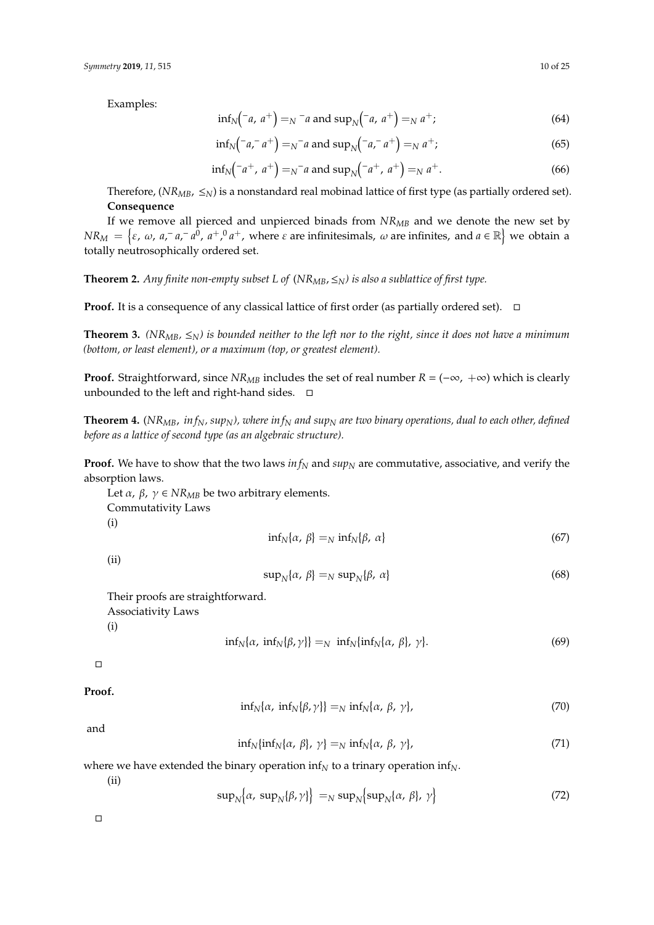Examples:

$$
\inf_{N}(-a, a^{+}) =_{N} -a
$$
 and  $\sup_{N}(-a, a^{+}) =_{N} a^{+};$  (64)

$$
\inf_{N} (-a, a^{+}) =_{N} a
$$
 and  $\sup_{N} (-a, a^{+}) =_{N} a^{+};$  (65)

$$
\inf_{N}(-a^{+}, a^{+}) =_{N}^{-}a
$$
 and  $\sup_{N}(-a^{+}, a^{+}) =_{N} a^{+}.$  (66)

Therefore,  $(NR_{MB}, \leq_N)$  is a nonstandard real mobinad lattice of first type (as partially ordered set). **Consequence**

If we remove all pierced and unpierced binads from *NRMB* and we denote the new set by  $NR_M = \{\varepsilon, \, \omega, \, a, \bar{a}, \bar{a}, \bar{a}^0, \, a^+, \, a^a, \, \text{where } \varepsilon \text{ are infinitesimals, } \omega \text{ are infinites, and } a \in \mathbb{R}\}$  we obtain a totally neutrosophically ordered set.

**Theorem 2.** *Any finite non-empty subset L of* (*NRMB*,≤*N) is also a sublattice of first type.*

**Proof.** It is a consequence of any classical lattice of first order (as partially ordered set).  $\Box$ 

**Theorem 3.** *(NR<sub>MB</sub>*,  $\leq$ <sub>N</sub>) is bounded neither to the left nor to the right, since it does not have a minimum *(bottom, or least element), or a maximum (top, or greatest element).*

**Proof.** Straightforward, since *NR<sub>MB</sub>* includes the set of real number  $R = (-\infty, +\infty)$  which is clearly unbounded to the left and right-hand sides.  $\square$ 

**Theorem 4.** (*NRMB*, *in fN, supN), where in f<sup>N</sup> and sup<sup>N</sup> are two binary operations, dual to each other, defined before as a lattice of second type (as an algebraic structure).*

**Proof.** We have to show that the two laws *in f<sup>N</sup>* and *sup<sup>N</sup>* are commutative, associative, and verify the absorption laws.

Let *α*, *β*, *γ* ∈ *NR<sub>MB</sub>* be two arbitrary elements. Commutativity Laws (i)  $\inf_N\{\alpha, \beta\} =_N \inf_N\{\beta, \alpha\}$ (67)

(ii)

$$
\sup_{N} \{ \alpha, \beta \} =_{N} \sup_{N} \{ \beta, \alpha \} \tag{68}
$$

Their proofs are straightforward. Associativity Laws (i)

> $\inf_N\{\alpha, \inf_N\{\beta, \gamma\}\} =_N \inf_N\{\inf_N\{\alpha, \beta\}, \gamma\}$  $(69)$

 $\Box$ 

**Proof.**

$$
\inf_{N}\{\alpha,\ \inf_{N}\{\beta,\gamma\}\}=\inf_{N}\{\alpha,\ \beta,\ \gamma\},\tag{70}
$$

and

$$
\inf_{N} \{ \inf_{N} \{ \alpha, \beta \}, \gamma \} =_{N} \inf_{N} \{ \alpha, \beta, \gamma \},\tag{71}
$$

where we have extended the binary operation inf<sub>*N*</sub> to a trinary operation inf<sub>*N*</sub>.

(ii)

$$
\sup_{N} \Big\{ \alpha, \sup_{N} \big\{ \beta, \gamma \big\} \Big\} =_{N} \sup_{N} \Big\{ \sup_{N} \Big\{ \alpha, \beta \big\}, \gamma \Big\} \tag{72}
$$

 $\Box$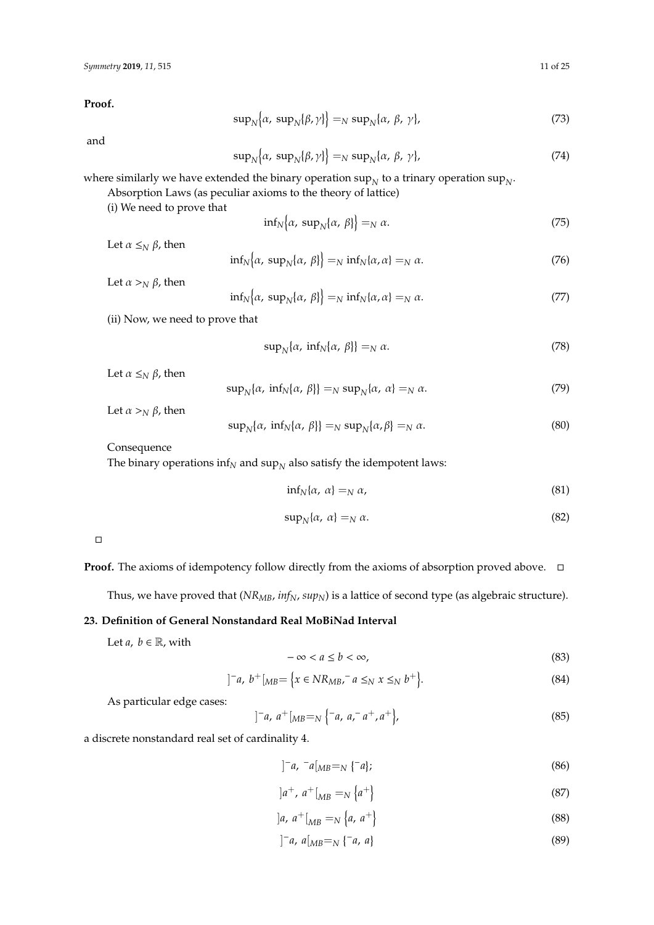**Proof.**

$$
\sup_{N} \{\alpha, \sup_{N} \{\beta, \gamma\} \} =_{N} \sup_{N} \{\alpha, \beta, \gamma\},\tag{73}
$$

and

$$
\sup_{N} \{\alpha, \sup_{N} \{\beta, \gamma\} \} =_{N} \sup_{N} \{\alpha, \beta, \gamma\},\tag{74}
$$

where similarly we have extended the binary operation  $\sup_N$  to a trinary operation  $\sup_{N}$ .

Absorption Laws (as peculiar axioms to the theory of lattice)

(i) We need to prove that

$$
\inf_{N} \left\{ \alpha, \sup_{N} \left\{ \alpha, \beta \right\} \right\} =_{N} \alpha. \tag{75}
$$

Let  $\alpha \leq_N \beta$ , then

$$
\inf_{N} \left\{ \alpha, \sup_{N} \left\{ \alpha, \beta \right\} \right\} =_{N} \inf_{N} \left\{ \alpha, \alpha \right\} =_{N} \alpha.
$$
 (76)

Let  $\alpha >_N \beta$ , then

$$
\inf_{N} \left\{ \alpha, \ \sup_{N} \left\{ \alpha, \ \beta \right\} \right\} =_{N} \inf_{N} \left\{ \alpha, \alpha \right\} =_{N} \alpha. \tag{77}
$$

(ii) Now, we need to prove that

$$
\sup_{N} \{ \alpha, \inf_{N} \{ \alpha, \beta \} \} =_{N} \alpha. \tag{78}
$$

Let  $\alpha \leq_N \beta$ , then

$$
\sup_{N} \{ \alpha, \inf_{N} \{ \alpha, \beta \} \} =_{N} \sup_{N} \{ \alpha, \alpha \} =_{N} \alpha.
$$
 (79)

Let  $\alpha >_N \beta$ , then

$$
\sup_{N} \{ \alpha, \inf_{N} \{ \alpha, \beta \} \} =_{N} \sup_{N} \{ \alpha, \beta \} =_{N} \alpha.
$$
 (80)

Consequence

The binary operations  $\inf_{N}$  and  $\sup_{N}$  also satisfy the idempotent laws:

$$
\inf_{N} \{\alpha, \alpha\} =_{N} \alpha,
$$
\n(81)

$$
\sup_{N} \{ \alpha, \alpha \} =_{N} \alpha. \tag{82}
$$

 $\Box$ 

**Proof.** The axioms of idempotency follow directly from the axioms of absorption proved above. □

Thus, we have proved that (*NRMB*, *infN*, *supN*) is a lattice of second type (as algebraic structure).

# **23. Definition of General Nonstandard Real MoBiNad Interval**

Let  $a, b \in \mathbb{R}$ , with

$$
-\infty < a \le b < \infty,
$$
\n(83)

$$
]^{-}a, b^{+}[_{MB} = \{x \in NR_{MB}, a \leq_N x \leq_N b^{+}\}.
$$
\n(84)

As particular edge cases:

$$
]^{-}a, a^{+}[_{MB} =_{N} \{-a, a^{-}a^{+}, a^{+}\}, \qquad (85)
$$

a discrete nonstandard real set of cardinality 4.

$$
]^{-}a, {}^{-}a[_{MB} = _{N} \{^{-}a\}; \tag{86}
$$

$$
]a^+, a^+[MB =N {a^+}
$$
\n
$$
(87)
$$

$$
]a, a^+ [{}_{MB} = N \{a, a^+\} \tag{88}
$$

$$
]^{-}a, a[_{MB} = _{N} \{-a, a\}
$$
 (89)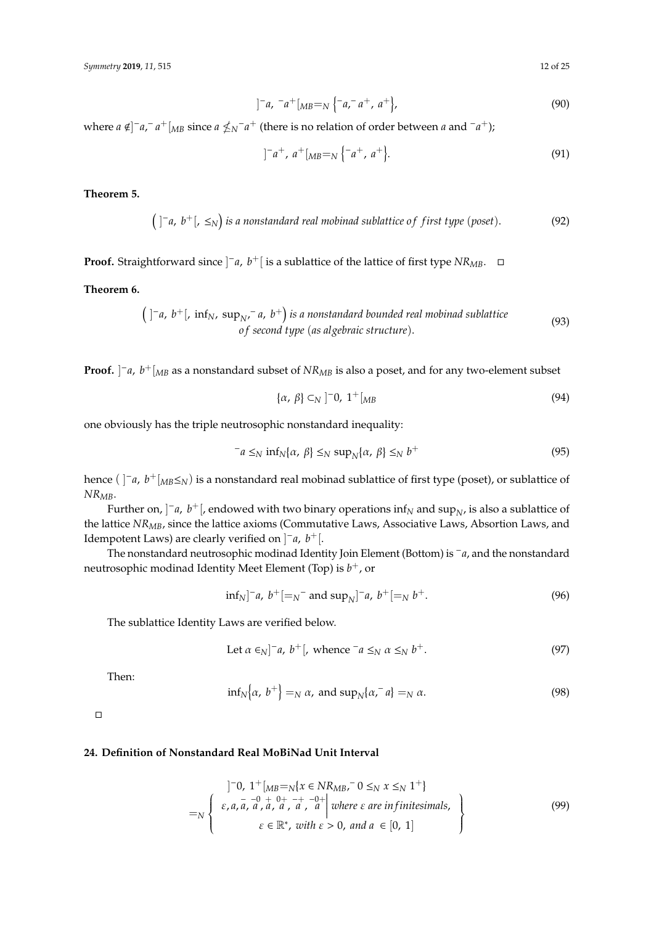$$
]^{-}a, {}^{-}a^{+}[_{MB} =_{N} \{-a, {}^{-}a^{+}, a^{+}\}, \qquad (90)
$$

where  $a \notin ]^-a,^-a^+[_{MB}$  since  $a \nleq_N^-a^+$  (there is no relation of order between  $a$  and  $^-a^+$ );

$$
]^{-}a^{+}, a^{+}[_{MB}=_{N}\{-a^{+}, a^{+}\}.
$$
 (91)

**Theorem 5.**

$$
(\ ]^-a, b^+[, \leq_N \big) \ \text{is a nonstandard real mobilattice of first type (poset).} \tag{92}
$$

**Proof.** Straightforward since  $]$ <sup>−</sup>*a*, *b*<sup>+</sup>[ is a sublattice of the lattice of first type *NR*<sub>*MB*</sub>. □

**Theorem 6.**

$$
\left(\begin{array}{ccc}\n\end{array}\right)^{-}a, b^{+}[\text{, inf}_{N}, \text{sup}_{N}, \text{sup}_{N}^{*}a, b^{+}]\text{ is a nonstandard bounded real mobilattice} \tag{93}
$$
\n
$$
\text{of second type (as algebraic structure).}
$$

**Proof.** ] <sup>−</sup>*a*, *b* <sup>+</sup>[*MB* as a nonstandard subset of *NRMB* is also a poset, and for any two-element subset

$$
\{\alpha,\ \beta\} \subset_N ]^{-0}, \ 1^+[_{MB} \tag{94}
$$

one obviously has the triple neutrosophic nonstandard inequality:

$$
-a \leq_N \inf_N{\{\alpha, \beta\}} \leq_N \sup_N{\{\alpha, \beta\}} \leq_N b^+
$$
\n(95)

hence ( ] <sup>−</sup>*a*, *b* <sup>+</sup>[*MB*≤*N*) is a nonstandard real mobinad sublattice of first type (poset), or sublattice of *NRMB*.

Further on,  $]$ <sup>-</sup> $a$ ,  $b^+$ [, endowed with two binary operations inf<sub>N</sub> and sup<sub>N</sub>, is also a sublattice of the lattice *NRMB*, since the lattice axioms (Commutative Laws, Associative Laws, Absortion Laws, and Idempotent Laws) are clearly verified on ] <sup>−</sup>*a*, *b* +[.

The nonstandard neutrosophic modinad Identity Join Element (Bottom) is <sup>−</sup>*a*, and the nonstandard neutrosophic modinad Identity Meet Element (Top) is *b* <sup>+</sup>, or

$$
\inf_{N} \left[ -a, b^{+} \left[ -s^{-} \text{ and } \sup_{N} \right]^{-} a, b^{+} \left[ -s^{-} \right]^{+} \right]
$$
 (96)

The sublattice Identity Laws are verified below.

Let 
$$
\alpha \in_N ]^{-a}
$$
,  $b^+ [$ , whence  $-a \leq_N \alpha \leq_N b^+$ . (97)

Then:

$$
\inf_{N} \left\{ \alpha, \ b^{+} \right\} =_{N} \alpha, \ \text{and} \ \sup_{N} \left\{ \alpha, \ a \right\} =_{N} \alpha. \tag{98}
$$

 $\Box$ 

## **24. Definition of Nonstandard Real MoBiNad Unit Interval**

n

$$
\begin{aligned}\n\left.\begin{array}{l}\n\left.\begin{matrix}\n\end{matrix}\right]^{-0}, \ 1^{+}\left[\begin{subarray}{l}M_{B} = N\{x \in NR_{MB}, -0 \leq_{N} x \leq_{N} 1^{+}\}\right] \\
\epsilon, a, a, a, a, a, a, a, a, a\n\end{array}\right] \text{ where } \epsilon \text{ are infinitesimals,} \\
\epsilon \in \mathbb{R}^{*}, \ \text{with } \epsilon > 0, \text{ and } a \in [0, 1]\n\end{array}\n\right\}\n\end{aligned} \tag{99}
$$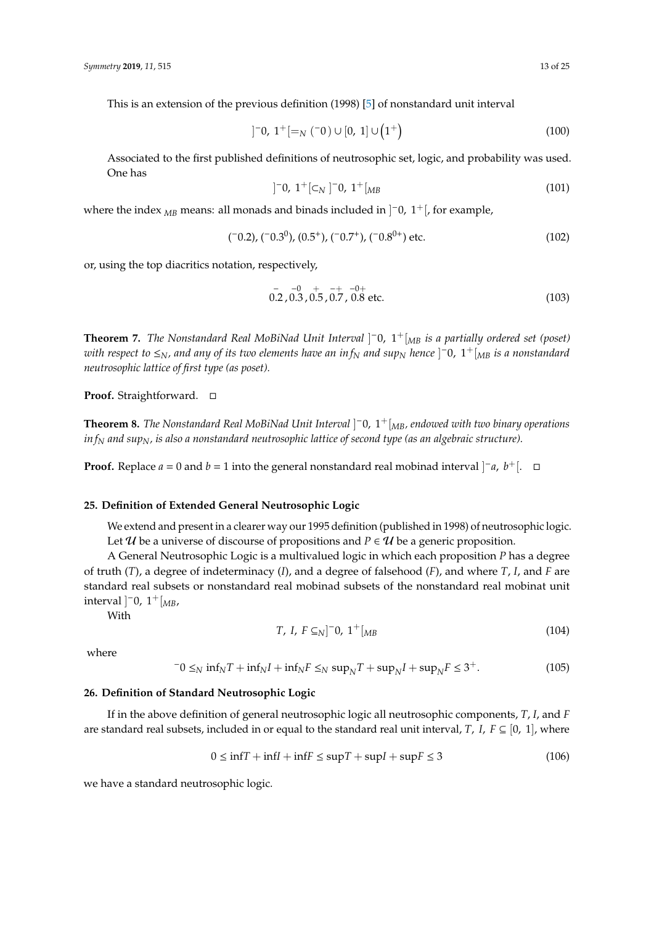This is an extension of the previous definition (1998) [\[5\]](#page-23-3) of nonstandard unit interval

$$
]^{-}0, 1^{+}[=_N(^{-}0) \cup [0, 1] \cup (1^{+}) \tag{100}
$$

Associated to the first published definitions of neutrosophic set, logic, and probability was used. One has

$$
]^{-}0, 1^{+}[\subset_{N}]^{-}0, 1^{+}[_{MB}
$$
 (101)

where the index  $_{MB}$  means: all monads and binads included in  $]$ <sup>-</sup>0, 1<sup>+</sup> [, for example,

$$
(-0.2), (-0.30), (0.5+), (-0.7+), (-0.80+) etc.
$$
 (102)

or, using the top diacritics notation, respectively,

$$
\begin{array}{cccc}\n & - & -0 & + & -+ & -0+ \\
0.2 & 0.3 & 0.5 & 0.7 & 0.8 \text{ etc.}\n\end{array}
$$
\n(103)

**Theorem 7.** *The Nonstandard Real MoBiNad Unit Interval* ] <sup>−</sup>0, 1+[*MB is a partially ordered set (poset) with respect to* ≤*N, and any of its two elements have an in f<sup>N</sup> and sup<sup>N</sup> hence* ] <sup>−</sup>0, 1+[*MB is a nonstandard neutrosophic lattice of first type (as poset).*

**Proof.** Straightforward. □

**Theorem 8.** *The Nonstandard Real MoBiNad Unit Interval* ] <sup>−</sup>0, 1+[*MB, endowed with two binary operations in f<sup>N</sup> and supN, is also a nonstandard neutrosophic lattice of second type (as an algebraic structure).*

**Proof.** Replace *a* = 0 and *b* = 1 into the general nonstandard real mobinad interval  $]$ <sup>-</sup>*a*, *b*<sup>+</sup>[. □

#### **25. Definition of Extended General Neutrosophic Logic**

We extend and present in a clearer way our 1995 definition (published in 1998) of neutrosophic logic. Let U be a universe of discourse of propositions and  $P \in U$  be a generic proposition.

A General Neutrosophic Logic is a multivalued logic in which each proposition *P* has a degree of truth (*T*), a degree of indeterminacy (*I*), and a degree of falsehood (*F*), and where *T*, *I*, and *F* are standard real subsets or nonstandard real mobinad subsets of the nonstandard real mobinat unit  $interval \]$ <sup>-</sup>0,  $1 + \frac{M}{M}$ 

With

$$
T, I, F \subseteq_N ]^{-0}, 1^+ [_{MB} \tag{104}
$$

where

$$
-0 \leq_N \inf_N T + \inf_N I + \inf_N F \leq_N \sup_N T + \sup_N I + \sup_N F \leq 3^+.
$$
 (105)

#### **26. Definition of Standard Neutrosophic Logic**

If in the above definition of general neutrosophic logic all neutrosophic components, *T*, *I*, and *F* are standard real subsets, included in or equal to the standard real unit interval, *T*, *I*,  $F \subseteq [0, 1]$ , where

$$
0 \le \inf T + \inf I + \inf F \le \sup T + \sup I + \sup F \le 3 \tag{106}
$$

we have a standard neutrosophic logic.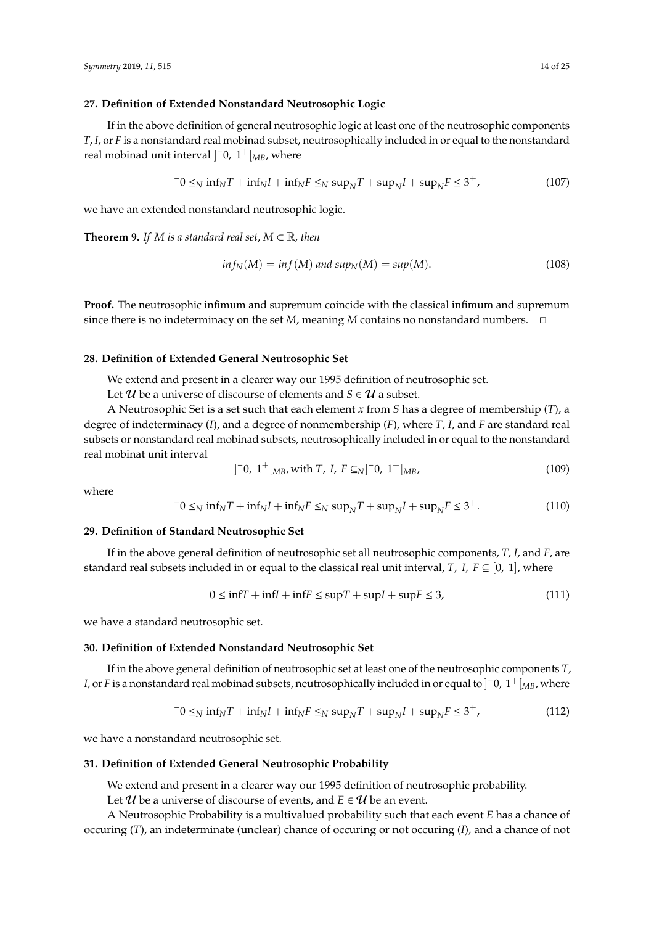#### **27. Definition of Extended Nonstandard Neutrosophic Logic**

If in the above definition of general neutrosophic logic at least one of the neutrosophic components *T*, *I*, or *F* is a nonstandard real mobinad subset, neutrosophically included in or equal to the nonstandard real mobinad unit interval ]<sup>−</sup>0, 1<sup>+</sup>[<sub>*MB*</sub>, where

$$
-0 \leq_N \inf_N T + \inf_N I + \inf_N F \leq_N \sup_N T + \sup_N I + \sup_N F \leq 3^+,
$$
\n(107)

we have an extended nonstandard neutrosophic logic.

**Theorem 9.** *If M is a standard real set*,  $M \subset \mathbb{R}$ *, then* 

$$
inf_N(M) = inf(M) \text{ and } sup_N(M) = sup(M). \tag{108}
$$

**Proof.** The neutrosophic infimum and supremum coincide with the classical infimum and supremum since there is no indeterminacy on the set  $M$ , meaning  $M$  contains no nonstandard numbers.  $\Box$ 

#### **28. Definition of Extended General Neutrosophic Set**

We extend and present in a clearer way our 1995 definition of neutrosophic set.

Let  $U$  be a universe of discourse of elements and  $S \in U$  a subset.

A Neutrosophic Set is a set such that each element *x* from *S* has a degree of membership (*T*), a degree of indeterminacy (*I*), and a degree of nonmembership (*F*), where *T*, *I*, and *F* are standard real subsets or nonstandard real mobinad subsets, neutrosophically included in or equal to the nonstandard real mobinat unit interval

$$
] ^{-}0, 1^{+} [{}_{MB}, with T, I, F \subseteq N] ^{-}0, 1^{+} [{}_{MB},
$$
\n(109)

where

$$
-0 \leq_N \inf_N T + \inf_N I + \inf_N F \leq_N \sup_N T + \sup_N I + \sup_N F \leq 3^+.
$$
 (110)

#### **29. Definition of Standard Neutrosophic Set**

If in the above general definition of neutrosophic set all neutrosophic components, *T*, *I*, and *F*, are standard real subsets included in or equal to the classical real unit interval, *T*, *I*, *F*  $\subseteq$  [0, 1], where

$$
0 \le \inf T + \inf I + \inf F \le \sup T + \sup I + \sup F \le 3,\tag{111}
$$

we have a standard neutrosophic set.

#### **30. Definition of Extended Nonstandard Neutrosophic Set**

If in the above general definition of neutrosophic set at least one of the neutrosophic components *T*, *I*, or *F* is a nonstandard real mobinad subsets, neutrosophically included in or equal to  $]$ <sup>-</sup>0, 1<sup>+</sup> [<sub>MB</sub>, where

$$
-0 \leq_N \inf_N T + \inf_N I + \inf_N F \leq_N \sup_N T + \sup_N I + \sup_N F \leq 3^+, \tag{112}
$$

we have a nonstandard neutrosophic set.

#### **31. Definition of Extended General Neutrosophic Probability**

We extend and present in a clearer way our 1995 definition of neutrosophic probability.

Let  $U$  be a universe of discourse of events, and  $E \in U$  be an event.

A Neutrosophic Probability is a multivalued probability such that each event *E* has a chance of occuring (*T*), an indeterminate (unclear) chance of occuring or not occuring (*I*), and a chance of not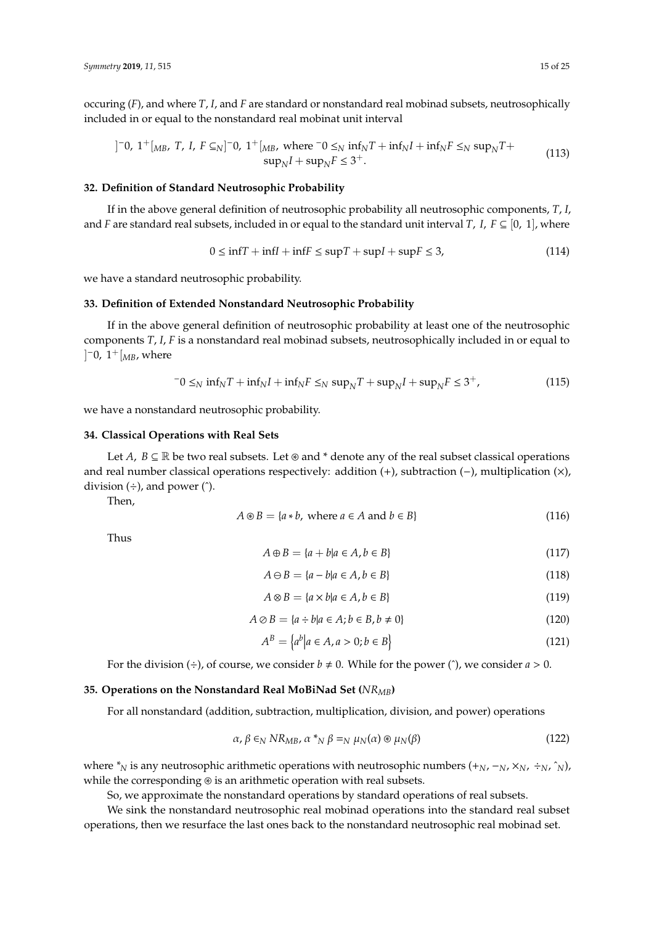occuring (*F*), and where *T*, *I*, and *F* are standard or nonstandard real mobinad subsets, neutrosophically included in or equal to the nonstandard real mobinat unit interval

$$
]^{-}0, 1^{+}[_{MB}, T, I, F \subseteq_{N}]^{-}0, 1^{+}[_{MB}, \text{ where } ^{-}0 \leq_{N} \inf_{N} T + \inf_{N} I + \inf_{N} F \leq_{N} \sup_{N} T + \sup_{N} I + \sup_{N} I + \sup_{N} F \leq 3^{+}.
$$
\n(113)

## **32. Definition of Standard Neutrosophic Probability**

If in the above general definition of neutrosophic probability all neutrosophic components, *T*, *I*, and *F* are standard real subsets, included in or equal to the standard unit interval *T*, *I*, *F*  $\subseteq$  [0, 1], where

$$
0 \le \inf T + \inf I + \inf F \le \sup T + \sup I + \sup F \le 3,\tag{114}
$$

we have a standard neutrosophic probability.

#### **33. Definition of Extended Nonstandard Neutrosophic Probability**

If in the above general definition of neutrosophic probability at least one of the neutrosophic components *T*, *I*, *F* is a nonstandard real mobinad subsets, neutrosophically included in or equal to  $]$ <sup>-</sup>0,  $1$ <sup>+</sup> [<sub>*MB*</sub>, where

$$
-0 \leq_N \inf_N T + \inf_N I + \inf_N F \leq_N \sup_N T + \sup_N I + \sup_N F \leq 3^+, \tag{115}
$$

we have a nonstandard neutrosophic probability.

#### **34. Classical Operations with Real Sets**

Let *A*,  $B \subseteq \mathbb{R}$  be two real subsets. Let  $\otimes$  and \* denote any of the real subset classical operations and real number classical operations respectively: addition (+), subtraction (−), multiplication (×), division  $(\div)$ , and power  $(\hat{\ })$ .

Then,

$$
A \circledast B = \{a * b, \text{ where } a \in A \text{ and } b \in B\}
$$
\n
$$
(116)
$$

Thus

$$
A \oplus B = \{a + b | a \in A, b \in B\}
$$
\n<sup>(117)</sup>

$$
A \ominus B = \{a - b | a \in A, b \in B\}
$$
\n<sup>(118)</sup>

$$
A \otimes B = \{a \times b | a \in A, b \in B\}
$$
\n<sup>(119)</sup>

$$
A \oslash B = \{a \div b | a \in A; b \in B, b \neq 0\}
$$
\n
$$
(120)
$$

$$
A^B = \left\{ a^b \middle| a \in A, a > 0; b \in B \right\} \tag{121}
$$

For the division  $(\div)$ , of course, we consider  $b \neq 0$ . While for the power  $(\hat{\ })$ , we consider  $a > 0$ .

#### **35. Operations on the Nonstandard Real MoBiNad Set (***NRMB***)**

For all nonstandard (addition, subtraction, multiplication, division, and power) operations

$$
\alpha, \beta \in_N NR_{MB}, \alpha *_{N} \beta =_{N} \mu_N(\alpha) \circledast \mu_N(\beta)
$$
\n(122)

where  $*_{N}$  is any neutrosophic arithmetic operations with neutrosophic numbers  $(+_{N}, -_{N}, \times_{N}, +_{N}, \hat{}_{N})$ , while the corresponding  $\circledast$  is an arithmetic operation with real subsets.

So, we approximate the nonstandard operations by standard operations of real subsets.

We sink the nonstandard neutrosophic real mobinad operations into the standard real subset operations, then we resurface the last ones back to the nonstandard neutrosophic real mobinad set.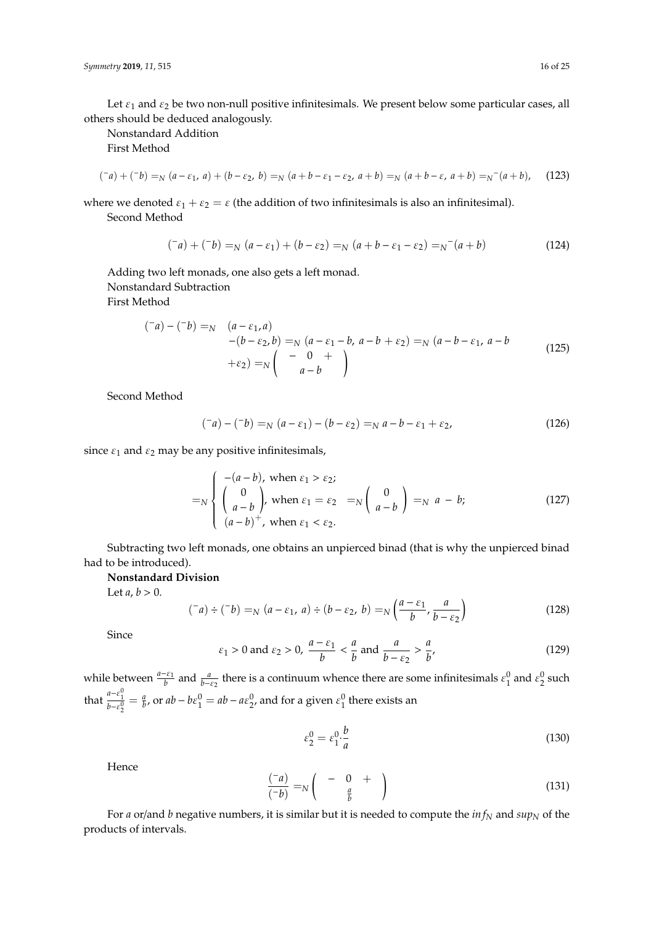Let  $\varepsilon_1$  and  $\varepsilon_2$  be two non-null positive infinitesimals. We present below some particular cases, all others should be deduced analogously.

Nonstandard Addition

First Method

$$
(\bar{a}) + (\bar{b}) =_{N} (a - \varepsilon_{1}, a) + (b - \varepsilon_{2}, b) =_{N} (a + b - \varepsilon_{1} - \varepsilon_{2}, a + b) =_{N} (a + b - \varepsilon, a + b) =_{N} (a + b), \quad (123)
$$

where we denoted  $\varepsilon_1 + \varepsilon_2 = \varepsilon$  (the addition of two infinitesimals is also an infinitesimal).

Second Method

$$
(^{-}a) + (^{-}b) =_{N} (a - \varepsilon_{1}) + (b - \varepsilon_{2}) =_{N} (a + b - \varepsilon_{1} - \varepsilon_{2}) =_{N} (a + b)
$$
\n(124)

Adding two left monads, one also gets a left monad. Nonstandard Subtraction First Method

$$
\begin{aligned} \n(-a) - (-b) &=_{N} \quad (a - \varepsilon_{1}, a) \\ \n-(b - \varepsilon_{2}, b) &=_{N} (a - \varepsilon_{1} - b, a - b + \varepsilon_{2}) =_{N} (a - b - \varepsilon_{1}, a - b \\ \n&+ \varepsilon_{2}) &=_{N} \left( \begin{array}{c} -0 \\ a - b \end{array} \right) \n\end{aligned} \tag{125}
$$

Second Method

$$
(-a) - (-b) =_{N} (a - \varepsilon_{1}) - (b - \varepsilon_{2}) =_{N} a - b - \varepsilon_{1} + \varepsilon_{2}, \qquad (126)
$$

since  $\varepsilon_1$  and  $\varepsilon_2$  may be any positive infinitesimals,

$$
=_{N} \begin{cases}\n-(a-b), \text{ when } \varepsilon_{1} > \varepsilon_{2};\\
\begin{pmatrix}0\\a-b\end{pmatrix}, \text{ when } \varepsilon_{1} = \varepsilon_{2} =_{N}\begin{pmatrix}0\\a-b\end{pmatrix} =_{N} a - b;\n(127)
$$
\n
$$
(a-b)^{+}, \text{ when } \varepsilon_{1} < \varepsilon_{2}.
$$

Subtracting two left monads, one obtains an unpierced binad (that is why the unpierced binad had to be introduced).

## **Nonstandard Division**

Let  $a, b > 0$ .

$$
(^{-}a) \div (^{-}b) =_{N} (a - \varepsilon_{1}, a) \div (b - \varepsilon_{2}, b) =_{N} \left(\frac{a - \varepsilon_{1}}{b}, \frac{a}{b - \varepsilon_{2}}\right)
$$
(128)

Since

$$
\varepsilon_1 > 0
$$
 and  $\varepsilon_2 > 0$ ,  $\frac{a - \varepsilon_1}{b} < \frac{a}{b}$  and  $\frac{a}{b - \varepsilon_2} > \frac{a}{b'}$ , (129)

while between  $\frac{a-\varepsilon_1}{b}$  and  $\frac{a}{b-\varepsilon_2}$  there is a continuum whence there are some infinitesimals  $\varepsilon_1^0$  and  $\varepsilon_2^0$  such that  $\frac{a-\varepsilon_1^0}{b-\varepsilon_2^0} = \frac{a}{b}$ , or  $ab-b\varepsilon_1^0 = ab - a\varepsilon_2^0$ , and for a given  $\varepsilon_1^0$  there exists an

$$
\varepsilon_2^0 = \varepsilon_1^0 \cdot \frac{b}{a} \tag{130}
$$

Hence

$$
\frac{(-a)}{(-b)} = N \begin{pmatrix} -0 & + \\ \frac{a}{b} & \end{pmatrix}
$$
 (131)

For *a* or/and *b* negative numbers, it is similar but it is needed to compute the *in f<sup>N</sup>* and *sup<sup>N</sup>* of the products of intervals.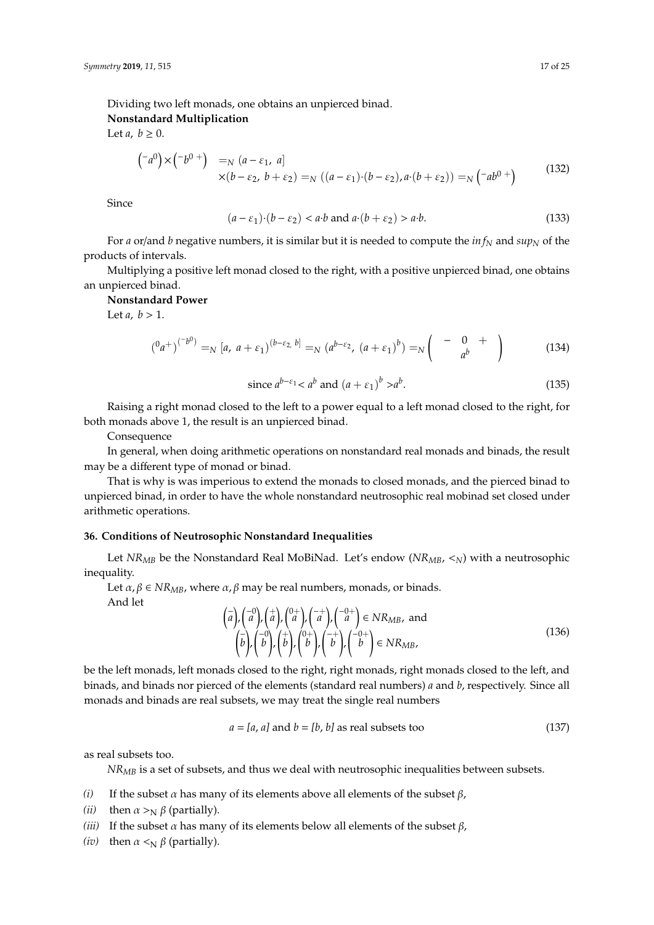Dividing two left monads, one obtains an unpierced binad.

# **Nonstandard Multiplication**

Let *a*,  $b \geq 0$ .

$$
\begin{pmatrix} -a^0 \end{pmatrix} \times \begin{pmatrix} -b^{0+} \end{pmatrix} =_{N} (a - \varepsilon_1, a] \times (b - \varepsilon_2, b + \varepsilon_2) =_{N} ((a - \varepsilon_1) \cdot (b - \varepsilon_2), a \cdot (b + \varepsilon_2)) =_{N} (-ab^{0+}) \tag{132}
$$

Since

$$
(a - \varepsilon_1) \cdot (b - \varepsilon_2) < a \cdot b \text{ and } a \cdot (b + \varepsilon_2) > a \cdot b. \tag{133}
$$

For *a* or/and *b* negative numbers, it is similar but it is needed to compute the *in f<sup>N</sup>* and *sup<sup>N</sup>* of the products of intervals.

Multiplying a positive left monad closed to the right, with a positive unpierced binad, one obtains an unpierced binad.

## **Nonstandard Power**

Let  $a, b > 1$ .

$$
\left( {}^{0}a^{+} \right)^{(-b^{0})} =_{N} [a, a + \varepsilon_{1})^{(b-\varepsilon_{2}, b]} =_{N} (a^{b-\varepsilon_{2}}, (a+\varepsilon_{1})^{b}) =_{N} \left( \begin{array}{cc} - & 0 & + \\ & a^{b} \end{array} \right)
$$
(134)

since 
$$
a^{b-\varepsilon_1} < a^b
$$
 and  $(a+\varepsilon_1)^b > a^b$ . (135)

Raising a right monad closed to the left to a power equal to a left monad closed to the right, for both monads above 1, the result is an unpierced binad.

Consequence

In general, when doing arithmetic operations on nonstandard real monads and binads, the result may be a different type of monad or binad.

That is why is was imperious to extend the monads to closed monads, and the pierced binad to unpierced binad, in order to have the whole nonstandard neutrosophic real mobinad set closed under arithmetic operations.

# **36. Conditions of Neutrosophic Nonstandard Inequalities**

Let *NRMB* be the Nonstandard Real MoBiNad. Let's endow (*NRMB*, <*N*) with a neutrosophic inequality.

Let  $\alpha$ ,  $\beta \in NR_{MB}$ , where  $\alpha$ ,  $\beta$  may be real numbers, monads, or binads. And let

$$
\left(\bar{a}\right),\left(\bar{a}\right),\left(\bar{a}\right),\left(\bar{a}\right),\left(\bar{a}\right),\left(\bar{a}\right),\left(\bar{a}\right),\left(\bar{a}\right)\in NR_{MB},\text{ and}
$$
\n
$$
\left(\bar{b}\right),\left(\bar{b}\right),\left(\bar{b}\right),\left(\bar{b}\right),\left(\bar{b}\right),\left(\bar{b}\right),\left(\bar{b}\right)\in NR_{MB},\tag{136}
$$

be the left monads, left monads closed to the right, right monads, right monads closed to the left, and binads, and binads nor pierced of the elements (standard real numbers) *a* and *b*, respectively. Since all monads and binads are real subsets, we may treat the single real numbers

$$
a = [a, a] \text{ and } b = [b, b] \text{ as real subsets too} \tag{137}
$$

as real subsets too.

*NRMB* is a set of subsets, and thus we deal with neutrosophic inequalities between subsets.

- *(i)* If the subset  $\alpha$  has many of its elements above all elements of the subset  $\beta$ ,
- *(ii)* then  $\alpha >_N \beta$  (partially).
- (*iii*) If the subset  $\alpha$  has many of its elements below all elements of the subset  $\beta$ ,
- *(iv)* then  $\alpha \leq_N \beta$  (partially).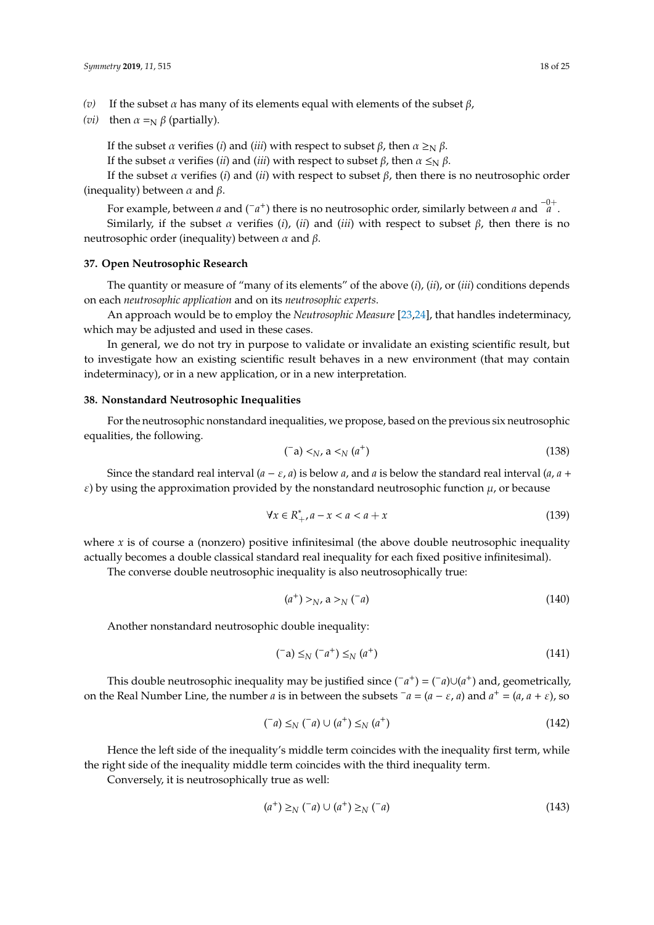- *(v)* If the subset α has many of its elements equal with elements of the subset β,
- *(vi)* then  $\alpha =_N \beta$  (partially).

If the subset *α* verifies (*i*) and (*iii*) with respect to subset *β*, then  $\alpha \geq_N \beta$ .

If the subset *α* verifies (*ii*) and (*iii*) with respect to subset  $β$ , then  $α \leq_N β$ .

If the subset  $\alpha$  verifies (*i*) and (*ii*) with respect to subset  $\beta$ , then there is no neutrosophic order (inequality) between  $\alpha$  and  $\beta$ .

For example, between *a* and (−*a* <sup>+</sup>) there is no neutrosophic order, similarly between *<sup>a</sup>* and <sup>−</sup>0<sup>+</sup> *a* . Similarly, if the subset  $\alpha$  verifies (*i*), (*ii*) and (*iii*) with respect to subset  $\beta$ , then there is no neutrosophic order (inequality) between  $α$  and  $β$ .

#### **37. Open Neutrosophic Research**

The quantity or measure of "many of its elements" of the above (*i*), (*ii*), or (*iii*) conditions depends on each *neutrosophic application* and on its *neutrosophic experts*.

An approach would be to employ the *Neutrosophic Measure* [\[23,](#page-24-10)[24\]](#page-24-11), that handles indeterminacy, which may be adjusted and used in these cases.

In general, we do not try in purpose to validate or invalidate an existing scientific result, but to investigate how an existing scientific result behaves in a new environment (that may contain indeterminacy), or in a new application, or in a new interpretation.

#### **38. Nonstandard Neutrosophic Inequalities**

For the neutrosophic nonstandard inequalities, we propose, based on the previous six neutrosophic equalities, the following.

$$
(\neg a) <_{N}, a <_{N} (a^{+})
$$
\n
$$
(138)
$$

Since the standard real interval  $(a - \varepsilon, a)$  is below *a*, and *a* is below the standard real interval  $(a, a + a)$  $\varepsilon$ ) by using the approximation provided by the nonstandard neutrosophic function  $\mu$ , or because

$$
\forall x \in R^*_{+}, a - x < a < a + x \tag{139}
$$

where  $x$  is of course a (nonzero) positive infinitesimal (the above double neutrosophic inequality actually becomes a double classical standard real inequality for each fixed positive infinitesimal).

The converse double neutrosophic inequality is also neutrosophically true:

$$
(a^+) >_N, a >_N (a)
$$
\n
$$
(140)
$$

Another nonstandard neutrosophic double inequality:

$$
(\neg a) \leq_N (\neg a^+) \leq_N (a^+) \tag{141}
$$

This double neutrosophic inequality may be justified since  $(\bar{a}^+) = (\bar{a}) \cup (a^+)$  and, geometrically, on the Real Number Line, the number *a* is in between the subsets  $\bar{a} = (a - \varepsilon, a)$  and  $a^+ = (a, a + \varepsilon)$ , so

$$
(\bar{a}) \leq_N (\bar{a}) \cup (a^+) \leq_N (a^+) \tag{142}
$$

Hence the left side of the inequality's middle term coincides with the inequality first term, while the right side of the inequality middle term coincides with the third inequality term.

Conversely, it is neutrosophically true as well:

$$
(a^{+}) \geq_{N} (a^{-}) \cup (a^{+}) \geq_{N} (a^{-})
$$
\n
$$
(143)
$$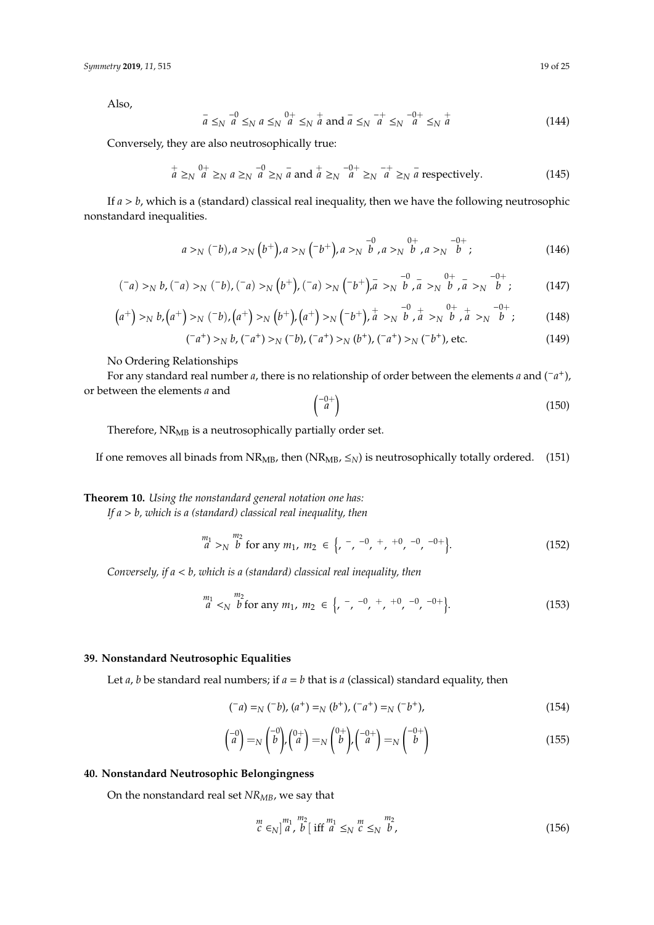Also,

$$
\bar{a} \leq_N \bar{a} \leq_N a \leq_N \bar{a}^{\,0+} \leq_N \bar{a} \text{ and } \bar{a} \leq_N \bar{a}^{\,0+} \leq_N \bar{a}^{\,0+} \leq_N \bar{a}
$$
\n(144)

Conversely, they are also neutrosophically true:

$$
\frac{1}{a} \geq_N \frac{0+}{a} \geq_N a \geq_N \frac{-0}{a} \geq_N \frac{-0+}{a} \geq_N \frac{-0+}{a} \geq_N \frac{-+}{a} \geq_N \frac{-}{a} \text{ respectively.}
$$
\n(145)

If *a* > *b*, which is a (standard) classical real inequality, then we have the following neutrosophic nonstandard inequalities.

$$
a >_N (-b), a >_N (b^+), a >_N (-b^+), a >_N \stackrel{-0}{b}, a >_N \stackrel{0+}{b}, a >_N \stackrel{-0+}{b};
$$
\n(146)

$$
(\bar{a}) >_N b, (\bar{a}) >_N (\bar{b}), (\bar{a}) >_N (b^+), (\bar{a}) >_N (b^+), \bar{a} >_N \bar{b}, \bar{a} >_N \bar{b}, \bar{a} >_N \bar{b}, \bar{a} >_N \bar{b}; \qquad (147)
$$

$$
(a^{+}) >_{N} b.(a^{+}) >_{N} (b^{-})_{N}(a^{+}) >_{N} (b^{+})_{N}(a^{+}) >_{N} (b^{+})_{N}(a^{+})_{N}(b^{+})_{N}(a^{+}) >_{N} (b^{+})_{N}(a^{+})_{N}(b^{+})_{N}(a^{+}) >_{N} (b^{+})_{N}(a^{+})
$$
\n(148)

$$
({}^{-}a^{+}) \gt_N b, ({}^{-}a^{+}) \gt_N ({}^{-}b), ({}^{-}a^{+}) \gt_N (b^{+}), ({}^{-}a^{+}) \gt_N ({}^{-}b^{+}), \text{etc.}
$$
 (149)

No Ordering Relationships

For any standard real number *<sup>a</sup>*, there is no relationship of order between the elements *<sup>a</sup>* and (−*<sup>a</sup>* +), or between the elements *a* and

$$
\begin{pmatrix} -0+ \\ a \end{pmatrix} \tag{150}
$$

Therefore, NR<sub>MB</sub> is a neutrosophically partially order set.

If one removes all binads from NR<sub>MB</sub>, then (NR<sub>MB</sub>,  $\leq_N$ ) is neutrosophically totally ordered. (151)

**Theorem 10.** *Using the nonstandard general notation one has:*

*If a* > *b, which is a (standard) classical real inequality, then*

$$
\begin{array}{c}\nm_1\\
a >_{N}\n\end{array}\n\quad \text{for any } m_1, \ m_2 \in \left\{ \begin{array}{ccc}\n- & -0 & + & +0 & -0 & -0 + \\
\end{array} \right\}.\n\tag{152}
$$

*Conversely, if a* < *b, which is a (standard) classical real inequality, then*

$$
\begin{array}{l}\nm_1\\
a\\
\end{array}\n\le_{N}\n\begin{array}{l}\nm_2\\
b\\
\end{array}\n\text{for any } m_1, \ m_2 \in \left\{\n\begin{array}{l}\n- & -0 \\
r & \end{array}\n\right.\n\quad\n\begin{array}{l}\n+ & 0 \\
r & \end{array}\n\quad -0 - 0 + \left\{\n\begin{array}{l}\n- & -0 \\
r & \end{array}\n\right.\n\end{array} \tag{153}
$$

# **39. Nonstandard Neutrosophic Equalities**

Let *a*, *b* be standard real numbers; if  $a = b$  that is *a* (classical) standard equality, then

$$
(^{-}a) =_{N} (^{-}b), (a^{+}) =_{N} (b^{+}), (^{-}a^{+}) =_{N} (^{-}b^{+}),
$$
\n(154)

$$
\begin{pmatrix} -0\\ a \end{pmatrix} = N \begin{pmatrix} -0\\ b \end{pmatrix}, \begin{pmatrix} 0+\\ a \end{pmatrix} = N \begin{pmatrix} 0+\\ b \end{pmatrix}, \begin{pmatrix} -0+\\ a \end{pmatrix} = N \begin{pmatrix} -0+\\ b \end{pmatrix}
$$
(155)

## **40. Nonstandard Neutrosophic Belongingness**

On the nonstandard real set *NRMB*, we say that

$$
\begin{array}{c}\nm\\
c \in_N \left]^m_1, \, b \, [\text{ iff } m_1 \leq_N \, c \leq_N \, b,\n\end{array} \right.\n\tag{156}
$$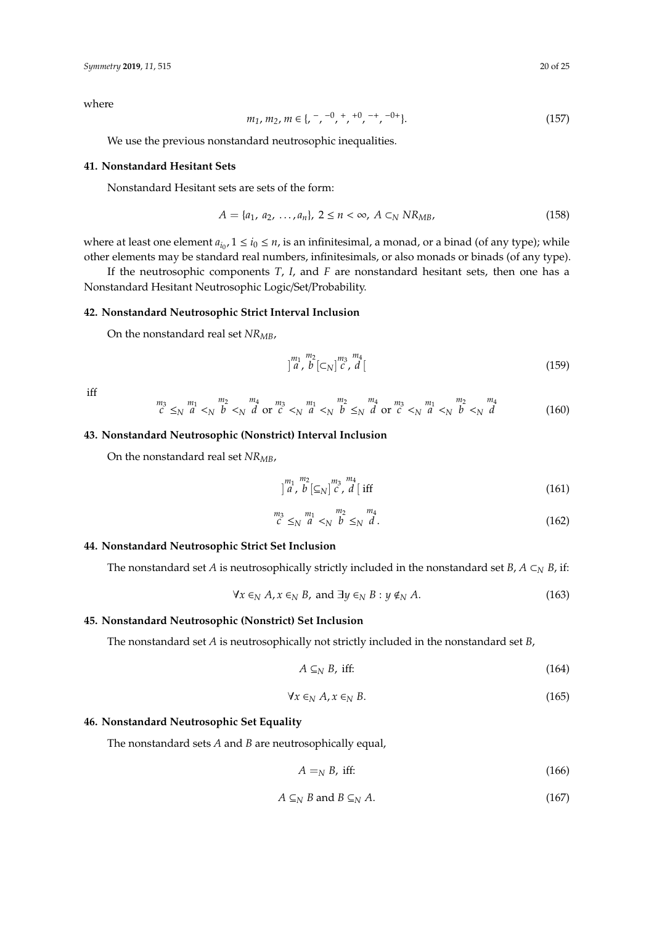where

$$
m_1, m_2, m \in \{, \, ^-, ^0, ^+, ^{+0}, ^{-+}, ^{-0+}\}. \tag{157}
$$

We use the previous nonstandard neutrosophic inequalities.

#### **41. Nonstandard Hesitant Sets**

Nonstandard Hesitant sets are sets of the form:

$$
A = \{a_1, a_2, ..., a_n\}, \ 2 \le n < \infty, \ A \subset_N N R_{MB}, \tag{158}
$$

where at least one element  $a_{i_0}$ ,  $1 \le i_0 \le n$ , is an infinitesimal, a monad, or a binad (of any type); while other elements may be standard real numbers, infinitesimals, or also monads or binads (of any type).

If the neutrosophic components *T*, *I*, and *F* are nonstandard hesitant sets, then one has a Nonstandard Hesitant Neutrosophic Logic/Set/Probability.

#### **42. Nonstandard Neutrosophic Strict Interval Inclusion**

On the nonstandard real set *NRMB*,

$$
\left| \begin{array}{c} m_1 & m_2 \\ a & b \end{array} \right| \left| \begin{array}{c} m_3 & m_4 \\ c & d \end{array} \right| \tag{159}
$$

iff

$$
\stackrel{m_3}{c} \leq_N \stackrel{m_1}{a} <_N \stackrel{m_2}{b} <_N \stackrel{m_4}{d} \text{ or } \stackrel{m_3}{c} <_N \stackrel{m_1}{a} <_N \stackrel{m_2}{b} \leq_N \stackrel{m_4}{d} \text{ or } \stackrel{m_3}{c} <_N \stackrel{m_1}{a} <_N \stackrel{m_2}{b} <_N \stackrel{m_4}{d} \tag{160}
$$

#### **43. Nonstandard Neutrosophic (Nonstrict) Interval Inclusion**

On the nonstandard real set *NRMB*,

$$
\int_{a}^{m_1} \int_{b}^{m_2} \left[ \underline{\epsilon}_N \right]_{c}^{m_3} \int_{d}^{m_4} \text{iff} \tag{161}
$$

$$
\stackrel{m_3}{c} \leq_N \stackrel{m_1}{a} <_N \stackrel{m_2}{b} \leq_N \stackrel{m_4}{d}.\tag{162}
$$

## **44. Nonstandard Neutrosophic Strict Set Inclusion**

The nonstandard set *A* is neutrosophically strictly included in the nonstandard set *B*, *A*  $\subset$ <sup>*N*</sup> *B*, if:

$$
\forall x \in_N A, x \in_N B, \text{ and } \exists y \in_N B : y \notin_N A. \tag{163}
$$

## **45. Nonstandard Neutrosophic (Nonstrict) Set Inclusion**

The nonstandard set *A* is neutrosophically not strictly included in the nonstandard set *B*,

$$
A \subseteq_N B, \text{ iff:} \tag{164}
$$

$$
\forall x \in_N A, x \in_N B. \tag{165}
$$

## **46. Nonstandard Neutrosophic Set Equality**

The nonstandard sets *A* and *B* are neutrosophically equal,

$$
A =_N B, \text{ iff:} \tag{166}
$$

$$
A \subseteq_N B \text{ and } B \subseteq_N A. \tag{167}
$$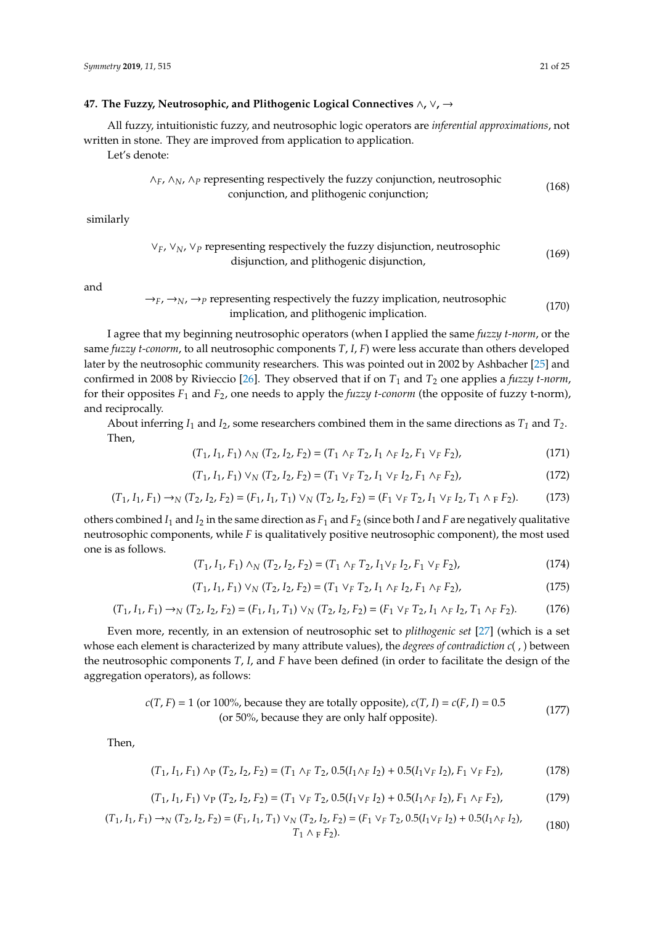#### **47. The Fuzzy, Neutrosophic, and Plithogenic Logical Connectives** ∧**,** ∨**,** →

All fuzzy, intuitionistic fuzzy, and neutrosophic logic operators are *inferential approximations*, not written in stone. They are improved from application to application.

Let's denote:

$$
\wedge_F
$$
,  $\wedge_N$ ,  $\wedge_P$  representing respectively the fuzzy conjunction, neutrosophic  
conjunction, and plithogenic conjunction; (168)

similarly

$$
\vee_F
$$
,  $\vee_N$ ,  $\vee_P$  representing respectively the fuzzy disjunction, neutrosophic  
disjunction, and plithogenic disjunction, (169)

and

$$
\rightarrow_F, \rightarrow_N, \rightarrow_P
$$
 representing respectively the fuzzy implication, neutron,  
proportion, multiplication, and plithogenic implication. (170)

I agree that my beginning neutrosophic operators (when I applied the same *fuzzy t-norm*, or the same *fuzzy t-conorm*, to all neutrosophic components *T*, *I*, *F*) were less accurate than others developed later by the neutrosophic community researchers. This was pointed out in 2002 by Ashbacher [\[25\]](#page-24-12) and confirmed in 2008 by Rivieccio [\[26\]](#page-24-13). They observed that if on  $T_1$  and  $T_2$  one applies a *fuzzy t-norm*, for their opposites *F*<sup>1</sup> and *F*2, one needs to apply the *fuzzy t-conorm* (the opposite of fuzzy t-norm), and reciprocally.

About inferring  $I_1$  and  $I_2$ , some researchers combined them in the same directions as  $T_1$  and  $T_2$ . Then,

$$
(T_1, I_1, F_1) \wedge_N (T_2, I_2, F_2) = (T_1 \wedge_F T_2, I_1 \wedge_F I_2, F_1 \vee_F F_2), \tag{171}
$$

$$
(T_1, I_1, F_1) \vee_N (T_2, I_2, F_2) = (T_1 \vee_F T_2, I_1 \vee_F I_2, F_1 \wedge_F F_2),
$$
\n(172)

$$
(T_1, I_1, F_1) \to_N (T_2, I_2, F_2) = (F_1, I_1, T_1) \vee_N (T_2, I_2, F_2) = (F_1 \vee_F T_2, I_1 \vee_F I_2, T_1 \wedge_F F_2). \tag{173}
$$

others combined  $I_1$  and  $I_2$  in the same direction as  $F_1$  and  $F_2$  (since both *I* and *F* are negatively qualitative neutrosophic components, while *F* is qualitatively positive neutrosophic component), the most used one is as follows.

$$
(T_1, I_1, F_1) \wedge_N (T_2, I_2, F_2) = (T_1 \wedge_F T_2, I_1 \vee_F I_2, F_1 \vee_F F_2),
$$
\n(174)

$$
(T_1, I_1, F_1) \vee_N (T_2, I_2, F_2) = (T_1 \vee_F T_2, I_1 \wedge_F I_2, F_1 \wedge_F F_2), \tag{175}
$$

$$
(T_1, I_1, F_1) \to_N (T_2, I_2, F_2) = (F_1, I_1, T_1) \vee_N (T_2, I_2, F_2) = (F_1 \vee_F T_2, I_1 \wedge_F I_2, T_1 \wedge_F F_2). \tag{176}
$$

Even more, recently, in an extension of neutrosophic set to *plithogenic set* [\[27\]](#page-24-14) (which is a set whose each element is characterized by many attribute values), the *degrees of contradiction c*( , ) between the neutrosophic components *T*, *I*, and *F* have been defined (in order to facilitate the design of the aggregation operators), as follows:

$$
c(T, F) = 1
$$
 (or 100%, because they are totally opposite),  $c(T, I) = c(F, I) = 0.5$  (or 50%, because they are only half opposite). (177)

Then,

$$
(T_1, I_1, F_1) \wedge_P (T_2, I_2, F_2) = (T_1 \wedge_F T_2, 0.5(I_1 \wedge_F I_2) + 0.5(I_1 \vee_F I_2), F_1 \vee_F F_2),
$$
\n(178)

$$
(T_1, I_1, F_1) \vee_P (T_2, I_2, F_2) = (T_1 \vee_F T_2, 0.5(I_1 \vee_F I_2) + 0.5(I_1 \wedge_F I_2), F_1 \wedge_F F_2),
$$
(179)

$$
(T_1, I_1, F_1) \to_N (T_2, I_2, F_2) = (F_1, I_1, T_1) \vee_N (T_2, I_2, F_2) = (F_1 \vee_F T_2, 0.5(I_1 \vee_F I_2) + 0.5(I_1 \wedge_F I_2),
$$
  
\n
$$
T_1 \wedge_F F_2).
$$
 (180)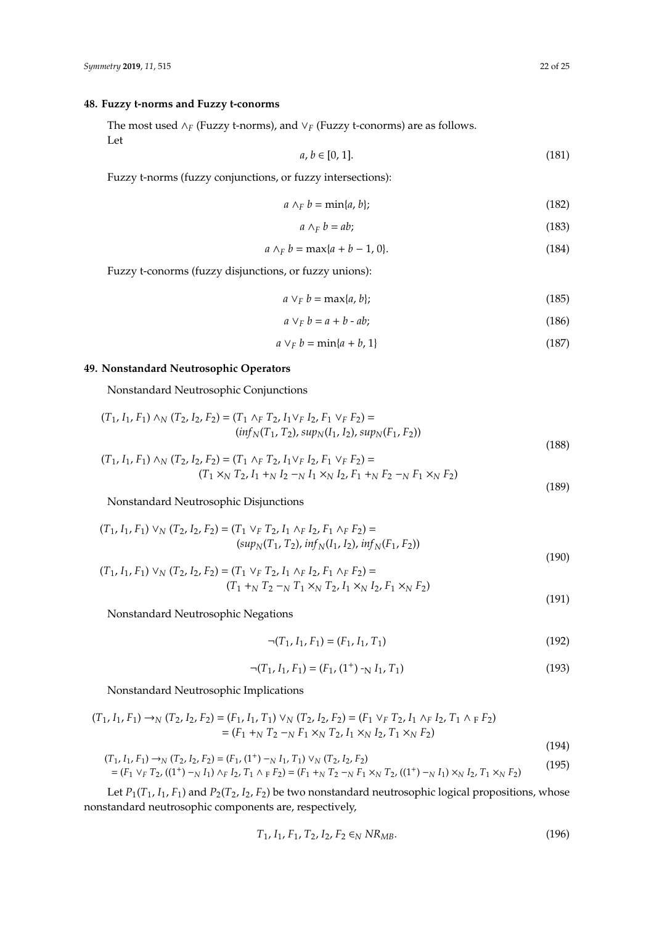## **48. Fuzzy t-norms and Fuzzy t-conorms**

The most used ∧*<sup>F</sup>* (Fuzzy t-norms), and ∨*<sup>F</sup>* (Fuzzy t-conorms) are as follows. Let

$$
a, b \in [0, 1]. \tag{181}
$$

Fuzzy t-norms (fuzzy conjunctions, or fuzzy intersections):

$$
a \wedge_F b = \min\{a, b\};\tag{182}
$$

$$
a \wedge_F b = ab; \tag{183}
$$

$$
a \wedge_F b = \max\{a + b - 1, 0\}.
$$
 (184)

Fuzzy t-conorms (fuzzy disjunctions, or fuzzy unions):

$$
a \vee_F b = \max\{a, b\};\tag{185}
$$

$$
a \vee_F b = a + b - ab;
$$
 (186)

$$
a \vee_F b = \min\{a + b, 1\} \tag{187}
$$

# **49. Nonstandard Neutrosophic Operators**

Nonstandard Neutrosophic Conjunctions

$$
(T_1, I_1, F_1) \wedge_N (T_2, I_2, F_2) = (T_1 \wedge_F T_2, I_1 \vee_F I_2, F_1 \vee_F F_2) =
$$
  
\n
$$
(inf_N(T_1, T_2), sup_N(I_1, I_2), sup_N(F_1, F_2))
$$
\n(188)

$$
(T_1, I_1, F_1) \wedge_N (T_2, I_2, F_2) = (T_1 \wedge_F T_2, I_1 \vee_F I_2, F_1 \vee_F F_2) =(T_1 \times_N T_2, I_1 +_N I_2 -_N I_1 \times_N I_2, F_1 +_N F_2 -_N F_1 \times_N F_2)
$$
\n(189)

Nonstandard Neutrosophic Disjunctions

$$
(T_1, I_1, F_1) \vee_N (T_2, I_2, F_2) = (T_1 \vee_F T_2, I_1 \wedge_F I_2, F_1 \wedge_F F_2) =
$$
  
\n
$$
(sup_N(T_1, T_2), inf_N(I_1, I_2), inf_N(F_1, F_2))
$$
\n(190)

$$
(T_1, I_1, F_1) \vee_N (T_2, I_2, F_2) = (T_1 \vee_F T_2, I_1 \wedge_F I_2, F_1 \wedge_F F_2) =
$$
  

$$
(T_1 +_N T_2 -_N T_1 \times_N T_2, I_1 \times_N I_2, F_1 \times_N F_2)
$$

Nonstandard Neutrosophic Negations

$$
\neg (T_1, I_1, F_1) = (F_1, I_1, T_1) \tag{192}
$$

$$
\neg (T_1, I_1, F_1) = (F_1, (1^+) \neg N I_1, T_1)
$$
\n(193)

Nonstandard Neutrosophic Implications

$$
(T_1, I_1, F_1) \to_N (T_2, I_2, F_2) = (F_1, I_1, T_1) \vee_N (T_2, I_2, F_2) = (F_1 \vee_F T_2, I_1 \wedge_F I_2, T_1 \wedge_F F_2)
$$
  
= 
$$
(F_1 +_N T_2 -_N F_1 \times_N T_2, I_1 \times_N I_2, T_1 \times_N F_2)
$$
(194)

$$
(T_1, I_1, F_1) \to_N (T_2, I_2, F_2) = (F_1, (1^+) -_N I_1, T_1) \vee_N (T_2, I_2, F_2)
$$
  
=  $(F_1 \vee_F T_2, ((1^+) -_N I_1) \wedge_F I_2, T_1 \wedge_F F_2) = (F_1 +_N T_2 -_N F_1 \times_N T_2, ((1^+) -_N I_1) \times_N I_2, T_1 \times_N F_2)$  (195)

Let  $P_1(T_1, I_1, F_1)$  and  $P_2(T_2, I_2, F_2)$  be two nonstandard neutrosophic logical propositions, whose nonstandard neutrosophic components are, respectively,

$$
T_1, I_1, F_1, T_2, I_2, F_2 \in_N N R_{MB}.
$$
\n(196)

(191)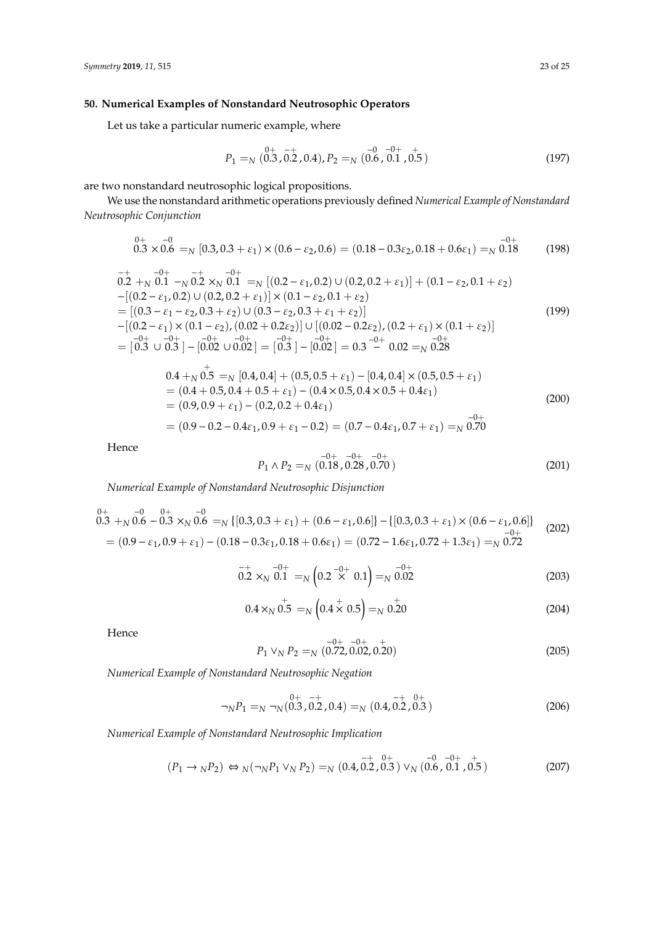## **50. Numerical Examples of Nonstandard Neutrosophic Operators**

Let us take a particular numeric example, where

$$
P_1 =_N \begin{pmatrix} 0+ & -+ & -0 & -0+ & + \\ 0.3 & 0.2 & 0.4 & 0.7 & 0.6 \\ 0.6 & 0.1 & 0.5 & 0.7 & 0.5 \end{pmatrix}
$$
(197)

are two nonstandard neutrosophic logical propositions.

We use the nonstandard arithmetic operations previously defined *Numerical Example of Nonstandard Neutrosophic Conjunction*

$$
\stackrel{0+}{0.3} \times \stackrel{-0}{0.6} =_N [0.3, 0.3 + \varepsilon_1) \times (0.6 - \varepsilon_2, 0.6) = (0.18 - 0.3\varepsilon_2, 0.18 + 0.6\varepsilon_1) =_N \stackrel{-0+}{0.18} \tag{198}
$$

$$
\begin{aligned}\n& \frac{-+}{0.2} + \frac{-0+}{0.1} - \frac{-+}{0.2} \times_{N} \frac{-0+}{0.1} &=_{N} \left[ (0.2 - \varepsilon_{1}, 0.2) \cup (0.2, 0.2 + \varepsilon_{1}) \right] + (0.1 - \varepsilon_{2}, 0.1 + \varepsilon_{2}) \\
& - \left[ (0.2 - \varepsilon_{1}, 0.2) \cup (0.2, 0.2 + \varepsilon_{1}) \right] \times (0.1 - \varepsilon_{2}, 0.1 + \varepsilon_{2}) \\
&= \left[ (0.3 - \varepsilon_{1} - \varepsilon_{2}, 0.3 + \varepsilon_{2}) \cup (0.3 - \varepsilon_{2}, 0.3 + \varepsilon_{1} + \varepsilon_{2}) \right] \\
&- \left[ (0.2 - \varepsilon_{1}) \times (0.1 - \varepsilon_{2}), (0.02 + 0.2\varepsilon_{2}) \right] \cup \left[ (0.02 - 0.2\varepsilon_{2}), (0.2 + \varepsilon_{1}) \times (0.1 + \varepsilon_{2}) \right] \\
&- \left[ (0.3 - 0.4 + \varepsilon_{2}, 0.3 + \varepsilon_{2}) \right] \\
&= \left[ 0.3 \cup 0.3 \right] - \left[ 0.02 \cup 0.02 \right] = \left[ 0.3 \right] - \left[ 0.02 \right] = 0.3 \xrightarrow{-0+} 0.02 =_{N} 0.28\n\end{aligned} \tag{199}
$$

$$
0.4 +_{N} 0.5 =_{N} [0.4, 0.4] + (0.5, 0.5 + \varepsilon_{1}) - [0.4, 0.4] \times (0.5, 0.5 + \varepsilon_{1})
$$
  
= (0.4 + 0.5, 0.4 + 0.5 + \varepsilon\_{1}) - (0.4 \times 0.5, 0.4 \times 0.5 + 0.4\varepsilon\_{1})  
= (0.9, 0.9 + \varepsilon\_{1}) - (0.2, 0.2 + 0.4\varepsilon\_{1})  
= (0.9 - 0.2 - 0.4\varepsilon\_{1}, 0.9 + \varepsilon\_{1} - 0.2) = (0.7 - 0.4\varepsilon\_{1}, 0.7 + \varepsilon\_{1}) =\_{N} 0.70<sup>-0+</sup>

Hence

$$
P_1 \wedge P_2 =_N \left(0.18, 0.28, 0.70\right) \tag{201}
$$

*Numerical Example of Nonstandard Neutrosophic Disjunction*

$$
{}_{0.3}^{0+} + {}_{N}^{0.6} - {}_{0.3}^{0+} \times {}_{N}^{0.6} = {}_{N} \{ [0.3, 0.3 + \varepsilon_{1}) + (0.6 - \varepsilon_{1}, 0.6] \} - \{ [0.3, 0.3 + \varepsilon_{1}) \times (0.6 - \varepsilon_{1}, 0.6] \} \newline - {}_{0.3}^{0+} \times {}_{0.6}^{0+} = (0.9 - \varepsilon_{1}, 0.9 + \varepsilon_{1}) - (0.18 - 0.3\varepsilon_{1}, 0.18 + 0.6\varepsilon_{1}) = (0.72 - 1.6\varepsilon_{1}, 0.72 + 1.3\varepsilon_{1}) = {}_{N}^{0.72}
$$
\n
$$
(202)
$$

$$
_{0.2 \times_{N} 0.1}^{-+} =_{N} \left( 0.2 \stackrel{-0+}{\times} 0.1 \right) =_{N} 0.02 \tag{203}
$$

$$
0.4 \times_{N} 0.5 =_{N} \left( 0.4 \times 0.5 \right) =_{N} 0.20 \tag{204}
$$

Hence

$$
P_1 \vee_N P_2 =_N \left(0.72, 0.02, 0.20\right) \tag{205}
$$

*Numerical Example of Nonstandard Neutrosophic Negation*

$$
\neg_N P_1 =_N \neg_N (0.3, 0.2, 0.4) =_N (0.4, 0.2, 0.3)
$$
\n(206)

*Numerical Example of Nonstandard Neutrosophic Implication*

$$
(P_1 \to_N P_2) \Leftrightarrow N(\neg_N P_1 \lor_N P_2) =_N (0.4, 0.2, 0.3) \lor_N (0.6, 0.1, 0.5)
$$
\n(207)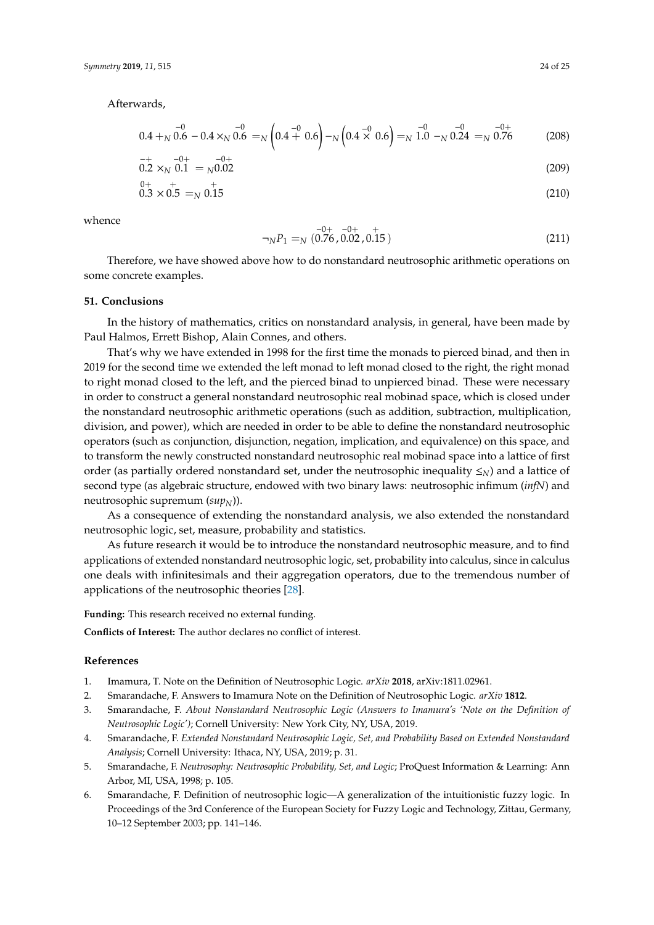Afterwards,

$$
0.4 +_{N} 0.6 - 0.4 \times_{N} 0.6 =_{N} \left(0.4 + 0.6\right) -_{N} \left(0.4 \times 0.6\right) =_{N} 1.0 -_{N} 0.24 =_{N} 0.76
$$
 (208)

$$
0.2 \times_{N} 0.1 =_{N} 0.02 \tag{209}
$$

$$
0.3 \times 0.5 =_{N} 0.15 \tag{210}
$$

whence

$$
\neg_N P_1 =_N (0.76, 0.02, 0.15)
$$
\n(211)

Therefore, we have showed above how to do nonstandard neutrosophic arithmetic operations on some concrete examples.

#### **51. Conclusions**

In the history of mathematics, critics on nonstandard analysis, in general, have been made by Paul Halmos, Errett Bishop, Alain Connes, and others.

That's why we have extended in 1998 for the first time the monads to pierced binad, and then in 2019 for the second time we extended the left monad to left monad closed to the right, the right monad to right monad closed to the left, and the pierced binad to unpierced binad. These were necessary in order to construct a general nonstandard neutrosophic real mobinad space, which is closed under the nonstandard neutrosophic arithmetic operations (such as addition, subtraction, multiplication, division, and power), which are needed in order to be able to define the nonstandard neutrosophic operators (such as conjunction, disjunction, negation, implication, and equivalence) on this space, and to transform the newly constructed nonstandard neutrosophic real mobinad space into a lattice of first order (as partially ordered nonstandard set, under the neutrosophic inequality ≤*N*) and a lattice of second type (as algebraic structure, endowed with two binary laws: neutrosophic infimum (*infN*) and neutrosophic supremum ( $\text{sup}_N$ )).

As a consequence of extending the nonstandard analysis, we also extended the nonstandard neutrosophic logic, set, measure, probability and statistics.

As future research it would be to introduce the nonstandard neutrosophic measure, and to find applications of extended nonstandard neutrosophic logic, set, probability into calculus, since in calculus one deals with infinitesimals and their aggregation operators, due to the tremendous number of applications of the neutrosophic theories [\[28\]](#page-24-15).

**Funding:** This research received no external funding.

**Conflicts of Interest:** The author declares no conflict of interest.

#### **References**

- <span id="page-23-0"></span>1. Imamura, T. Note on the Definition of Neutrosophic Logic. *arXiv* **2018**, arXiv:1811.02961.
- 2. Smarandache, F. Answers to Imamura Note on the Definition of Neutrosophic Logic. *arXiv* **1812**.
- <span id="page-23-1"></span>3. Smarandache, F. *About Nonstandard Neutrosophic Logic (Answers to Imamura's 'Note on the Definition of Neutrosophic Logic')*; Cornell University: New York City, NY, USA, 2019.
- <span id="page-23-2"></span>4. Smarandache, F. *Extended Nonstandard Neutrosophic Logic, Set, and Probability Based on Extended Nonstandard Analysis*; Cornell University: Ithaca, NY, USA, 2019; p. 31.
- <span id="page-23-3"></span>5. Smarandache, F. *Neutrosophy: Neutrosophic Probability, Set, and Logic*; ProQuest Information & Learning: Ann Arbor, MI, USA, 1998; p. 105.
- 6. Smarandache, F. Definition of neutrosophic logic—A generalization of the intuitionistic fuzzy logic. In Proceedings of the 3rd Conference of the European Society for Fuzzy Logic and Technology, Zittau, Germany, 10–12 September 2003; pp. 141–146.